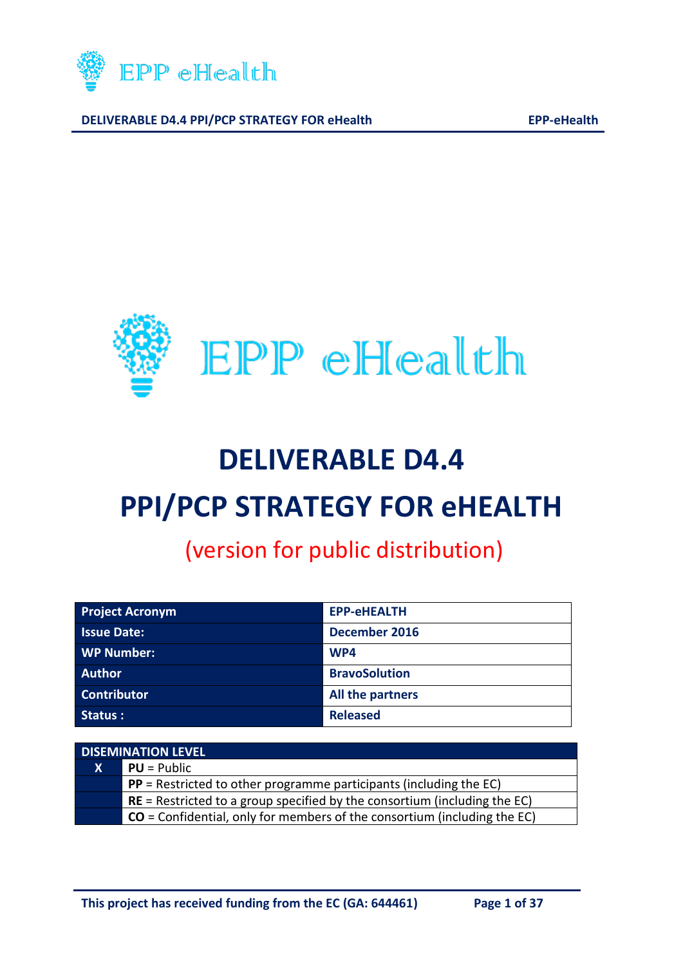



# **DELIVERABLE D4.4 PPI/PCP STRATEGY FOR eHEALTH**

# (version for public distribution)

| <b>Project Acronym</b> | <b>EPP-eHEALTH</b>   |
|------------------------|----------------------|
| <b>Issue Date:</b>     | December 2016        |
| <b>WP Number:</b>      | WP4                  |
| <b>Author</b>          | <b>BravoSolution</b> |
| <b>Contributor</b>     | All the partners     |
| Status :               | <b>Released</b>      |

| <b>DISEMINATION LEVEL</b> |                                                                             |  |
|---------------------------|-----------------------------------------------------------------------------|--|
| $\mathbf{X}$              | $PU = Public$                                                               |  |
|                           | $PP$ = Restricted to other programme participants (including the EC)        |  |
|                           | $RE =$ Restricted to a group specified by the consortium (including the EC) |  |
|                           | $CO =$ Confidential, only for members of the consortium (including the EC)  |  |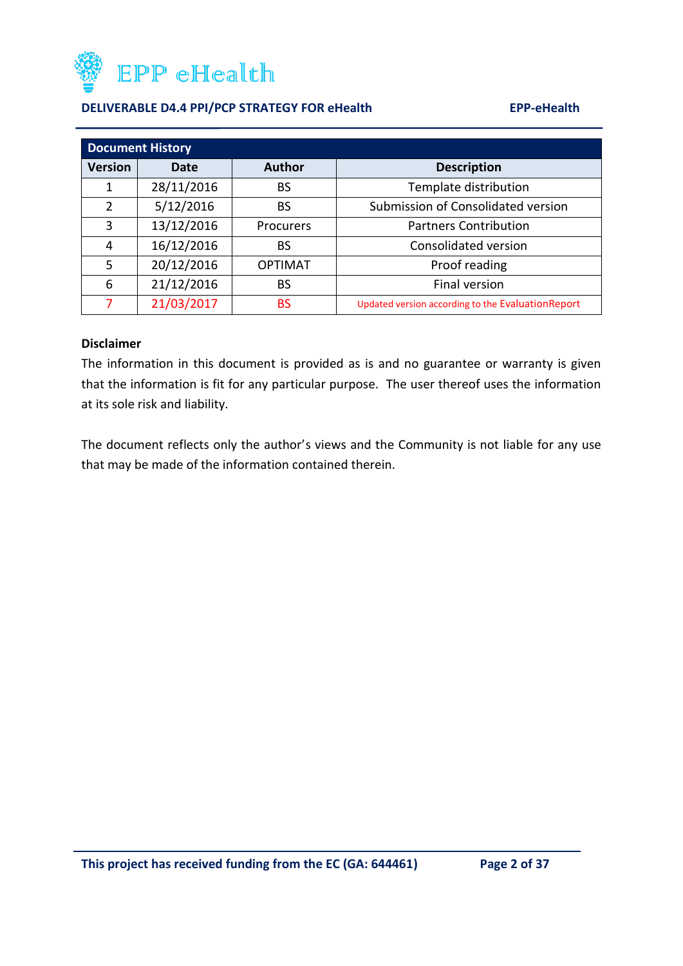

| <b>Document History</b> |            |                |                                                    |  |
|-------------------------|------------|----------------|----------------------------------------------------|--|
| <b>Version</b>          | Date       | <b>Author</b>  | <b>Description</b>                                 |  |
| 1                       | 28/11/2016 | <b>BS</b>      | Template distribution                              |  |
| $\overline{2}$          | 5/12/2016  | <b>BS</b>      | Submission of Consolidated version                 |  |
| 3                       | 13/12/2016 | Procurers      | <b>Partners Contribution</b>                       |  |
| 4                       | 16/12/2016 | BS             | Consolidated version                               |  |
| 5                       | 20/12/2016 | <b>OPTIMAT</b> | Proof reading                                      |  |
| 6                       | 21/12/2016 | <b>BS</b>      | Final version                                      |  |
| 7                       | 21/03/2017 | <b>BS</b>      | Updated version according to the Evaluation Report |  |

#### **Disclaimer**

The information in this document is provided as is and no guarantee or warranty is given that the information is fit for any particular purpose. The user thereof uses the information at its sole risk and liability.

The document reflects only the author's views and the Community is not liable for any use that may be made of the information contained therein.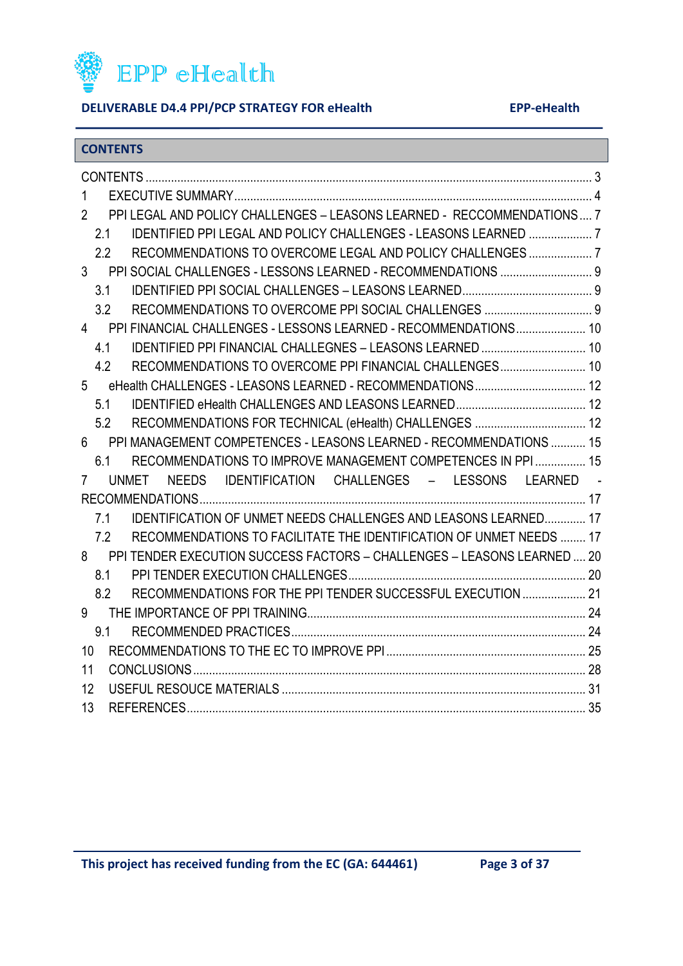

### <span id="page-2-0"></span>**CONTENTS**

| 1                                                                                        |  |
|------------------------------------------------------------------------------------------|--|
| PPI LEGAL AND POLICY CHALLENGES - LEASONS LEARNED - RECCOMMENDATIONS 7<br>$\overline{2}$ |  |
| 2.1                                                                                      |  |
| 2.2                                                                                      |  |
| PPI SOCIAL CHALLENGES - LESSONS LEARNED - RECOMMENDATIONS  9<br>3 <sup>7</sup>           |  |
| 3.1                                                                                      |  |
| 3.2                                                                                      |  |
| PPI FINANCIAL CHALLENGES - LESSONS LEARNED - RECOMMENDATIONS 10<br>$\overline{4}$        |  |
| IDENTIFIED PPI FINANCIAL CHALLEGNES - LEASONS LEARNED  10<br>4.1                         |  |
| RECOMMENDATIONS TO OVERCOME PPI FINANCIAL CHALLENGES 10<br>4.2                           |  |
| eHealth CHALLENGES - LEASONS LEARNED - RECOMMENDATIONS 12<br>5                           |  |
| 5.1                                                                                      |  |
| 5.2                                                                                      |  |
| PPI MANAGEMENT COMPETENCES - LEASONS LEARNED - RECOMMENDATIONS  15<br>6                  |  |
| RECOMMENDATIONS TO IMPROVE MANAGEMENT COMPETENCES IN PPI  15<br>6.1                      |  |
| UNMET NEEDS IDENTIFICATION CHALLENGES - LESSONS LEARNED -<br>7                           |  |
|                                                                                          |  |
| <b>IDENTIFICATION OF UNMET NEEDS CHALLENGES AND LEASONS LEARNED 17</b><br>7.1            |  |
| RECOMMENDATIONS TO FACILITATE THE IDENTIFICATION OF UNMET NEEDS  17<br>7.2               |  |
| PPI TENDER EXECUTION SUCCESS FACTORS - CHALLENGES - LEASONS LEARNED  20<br>8             |  |
| 8.1                                                                                      |  |
| RECOMMENDATIONS FOR THE PPI TENDER SUCCESSFUL EXECUTION  21<br>8.2                       |  |
| 9                                                                                        |  |
| 9.1                                                                                      |  |
| 10                                                                                       |  |
| 11                                                                                       |  |
| 12                                                                                       |  |
| 13                                                                                       |  |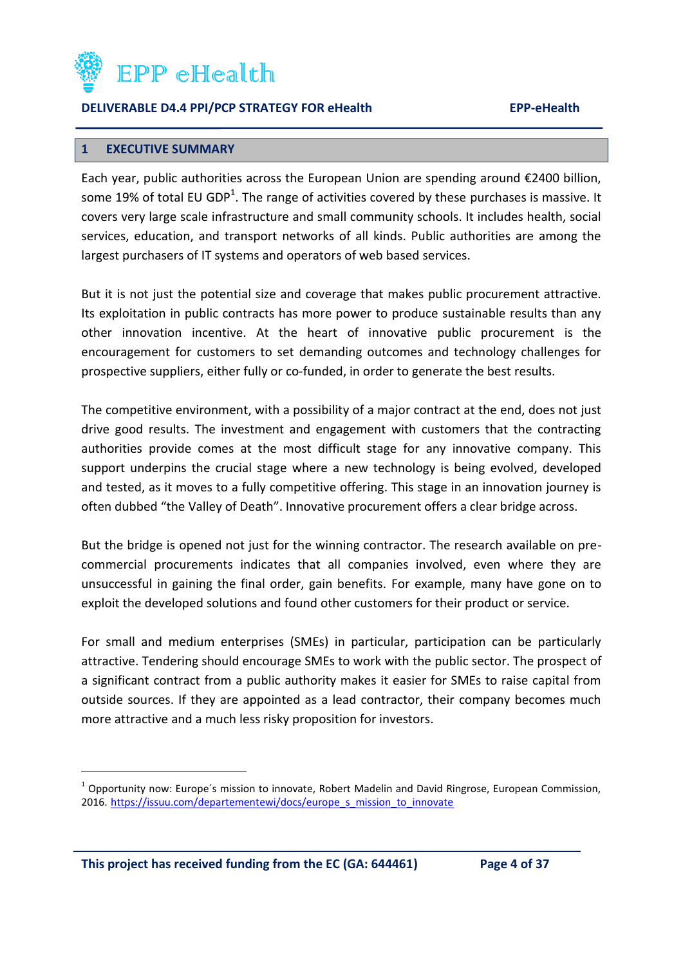

#### <span id="page-3-0"></span>**1 EXECUTIVE SUMMARY**

Each year, public authorities across the European Union are spending around €2400 billion, some 19% of total EU GDP<sup>1</sup>. The range of activities covered by these purchases is massive. It covers very large scale infrastructure and small community schools. It includes health, social services, education, and transport networks of all kinds. Public authorities are among the largest purchasers of IT systems and operators of web based services.

But it is not just the potential size and coverage that makes public procurement attractive. Its exploitation in public contracts has more power to produce sustainable results than any other innovation incentive. At the heart of innovative public procurement is the encouragement for customers to set demanding outcomes and technology challenges for prospective suppliers, either fully or co-funded, in order to generate the best results.

The competitive environment, with a possibility of a major contract at the end, does not just drive good results. The investment and engagement with customers that the contracting authorities provide comes at the most difficult stage for any innovative company. This support underpins the crucial stage where a new technology is being evolved, developed and tested, as it moves to a fully competitive offering. This stage in an innovation journey is often dubbed "the Valley of Death". Innovative procurement offers a clear bridge across.

But the bridge is opened not just for the winning contractor. The research available on precommercial procurements indicates that all companies involved, even where they are unsuccessful in gaining the final order, gain benefits. For example, many have gone on to exploit the developed solutions and found other customers for their product or service.

For small and medium enterprises (SMEs) in particular, participation can be particularly attractive. Tendering should encourage SMEs to work with the public sector. The prospect of a significant contract from a public authority makes it easier for SMEs to raise capital from outside sources. If they are appointed as a lead contractor, their company becomes much more attractive and a much less risky proposition for investors.

**This project has received funding from the EC (GA: 644461) Page 4 of 37**

 $\overline{\phantom{a}}$ 

<sup>&</sup>lt;sup>1</sup> Opportunity now: Europe's mission to innovate, Robert Madelin and David Ringrose, European Commission, 2016. [https://issuu.com/departementewi/docs/europe\\_s\\_mission\\_to\\_innovate](https://issuu.com/departementewi/docs/europe_s_mission_to_innovate)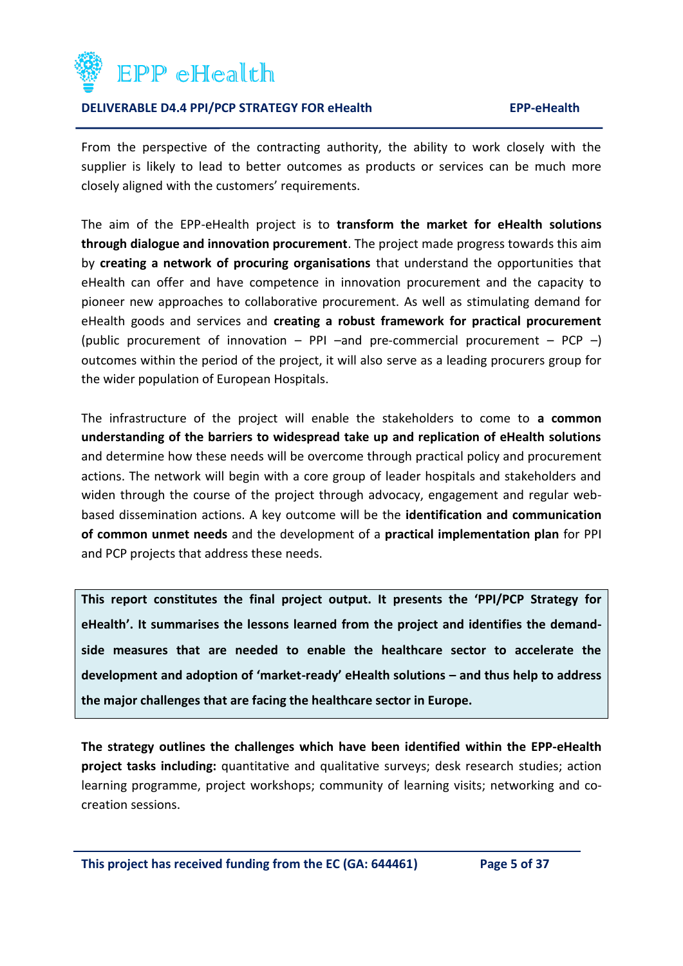

From the perspective of the contracting authority, the ability to work closely with the supplier is likely to lead to better outcomes as products or services can be much more closely aligned with the customers' requirements.

The aim of the EPP-eHealth project is to **transform the market for eHealth solutions through dialogue and innovation procurement**. The project made progress towards this aim by **creating a network of procuring organisations** that understand the opportunities that eHealth can offer and have competence in innovation procurement and the capacity to pioneer new approaches to collaborative procurement. As well as stimulating demand for eHealth goods and services and **creating a robust framework for practical procurement**  (public procurement of innovation – PPI –and pre-commercial procurement – PCP –) outcomes within the period of the project, it will also serve as a leading procurers group for the wider population of European Hospitals.

The infrastructure of the project will enable the stakeholders to come to **a common understanding of the barriers to widespread take up and replication of eHealth solutions**  and determine how these needs will be overcome through practical policy and procurement actions. The network will begin with a core group of leader hospitals and stakeholders and widen through the course of the project through advocacy, engagement and regular webbased dissemination actions. A key outcome will be the **identification and communication of common unmet needs** and the development of a **practical implementation plan** for PPI and PCP projects that address these needs.

**This report constitutes the final project output. It presents the 'PPI/PCP Strategy for eHealth'. It summarises the lessons learned from the project and identifies the demandside measures that are needed to enable the healthcare sector to accelerate the development and adoption of 'market-ready' eHealth solutions – and thus help to address the major challenges that are facing the healthcare sector in Europe.**

**The strategy outlines the challenges which have been identified within the EPP-eHealth project tasks including:** quantitative and qualitative surveys; desk research studies; action learning programme, project workshops; community of learning visits; networking and cocreation sessions.

**This project has received funding from the EC (GA: 644461) Page 5 of 37**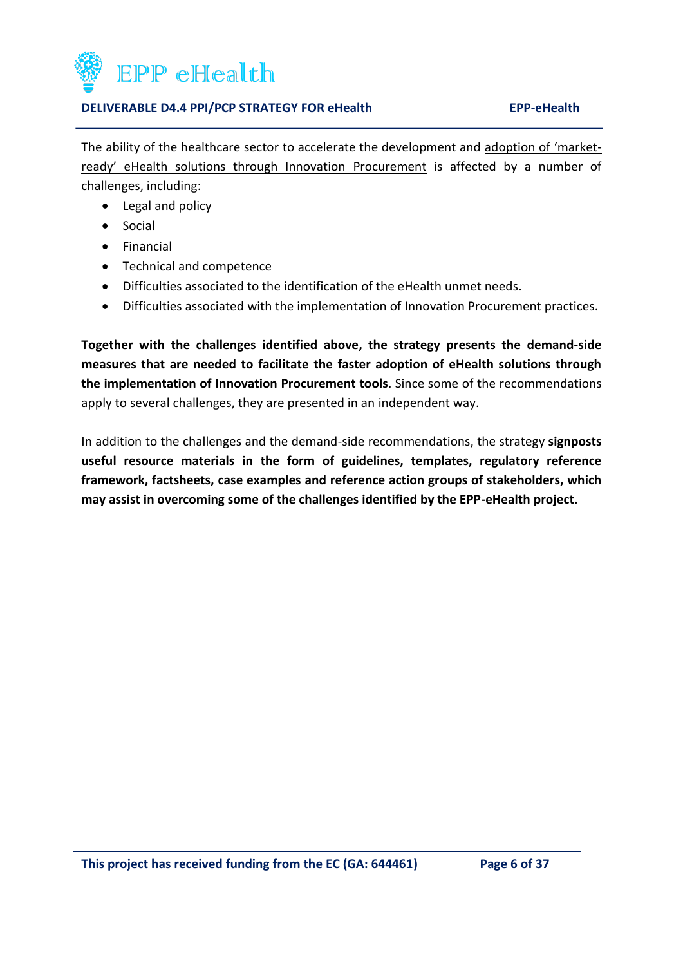

The ability of the healthcare sector to accelerate the development and adoption of 'marketready' eHealth solutions through Innovation Procurement is affected by a number of challenges, including:

- Legal and policy
- Social
- **•** Financial
- Technical and competence
- Difficulties associated to the identification of the eHealth unmet needs.
- Difficulties associated with the implementation of Innovation Procurement practices.

**Together with the challenges identified above, the strategy presents the demand-side measures that are needed to facilitate the faster adoption of eHealth solutions through the implementation of Innovation Procurement tools**. Since some of the recommendations apply to several challenges, they are presented in an independent way.

In addition to the challenges and the demand-side recommendations, the strategy **signposts useful resource materials in the form of guidelines, templates, regulatory reference framework, factsheets, case examples and reference action groups of stakeholders, which may assist in overcoming some of the challenges identified by the EPP-eHealth project.**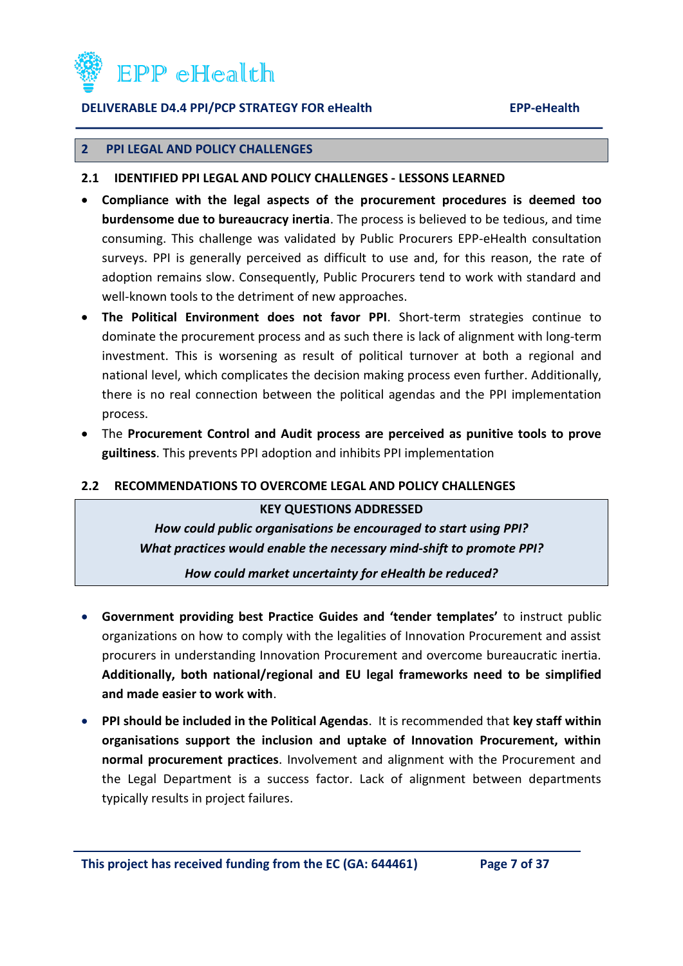

#### <span id="page-6-0"></span>**2 PPI LEGAL AND POLICY CHALLENGES**

- <span id="page-6-1"></span>**2.1 IDENTIFIED PPI LEGAL AND POLICY CHALLENGES - LESSONS LEARNED**
- **Compliance with the legal aspects of the procurement procedures is deemed too burdensome due to bureaucracy inertia**. The process is believed to be tedious, and time consuming. This challenge was validated by Public Procurers EPP-eHealth consultation surveys. PPI is generally perceived as difficult to use and, for this reason, the rate of adoption remains slow. Consequently, Public Procurers tend to work with standard and well-known tools to the detriment of new approaches.
- **The Political Environment does not favor PPI**. Short-term strategies continue to dominate the procurement process and as such there is lack of alignment with long-term investment. This is worsening as result of political turnover at both a regional and national level, which complicates the decision making process even further. Additionally, there is no real connection between the political agendas and the PPI implementation process.
- The **Procurement Control and Audit process are perceived as punitive tools to prove guiltiness**. This prevents PPI adoption and inhibits PPI implementation

#### <span id="page-6-2"></span>**2.2 RECOMMENDATIONS TO OVERCOME LEGAL AND POLICY CHALLENGES**

#### **KEY QUESTIONS ADDRESSED**

*How could public organisations be encouraged to start using PPI? What practices would enable the necessary mind-shift to promote PPI?*

*How could market uncertainty for eHealth be reduced?*

- **Government providing best Practice Guides and 'tender templates'** to instruct public organizations on how to comply with the legalities of Innovation Procurement and assist procurers in understanding Innovation Procurement and overcome bureaucratic inertia. **Additionally, both national/regional and EU legal frameworks need to be simplified and made easier to work with**.
- **PPI should be included in the Political Agendas**. It is recommended that **key staff within organisations support the inclusion and uptake of Innovation Procurement, within normal procurement practices**. Involvement and alignment with the Procurement and the Legal Department is a success factor. Lack of alignment between departments typically results in project failures.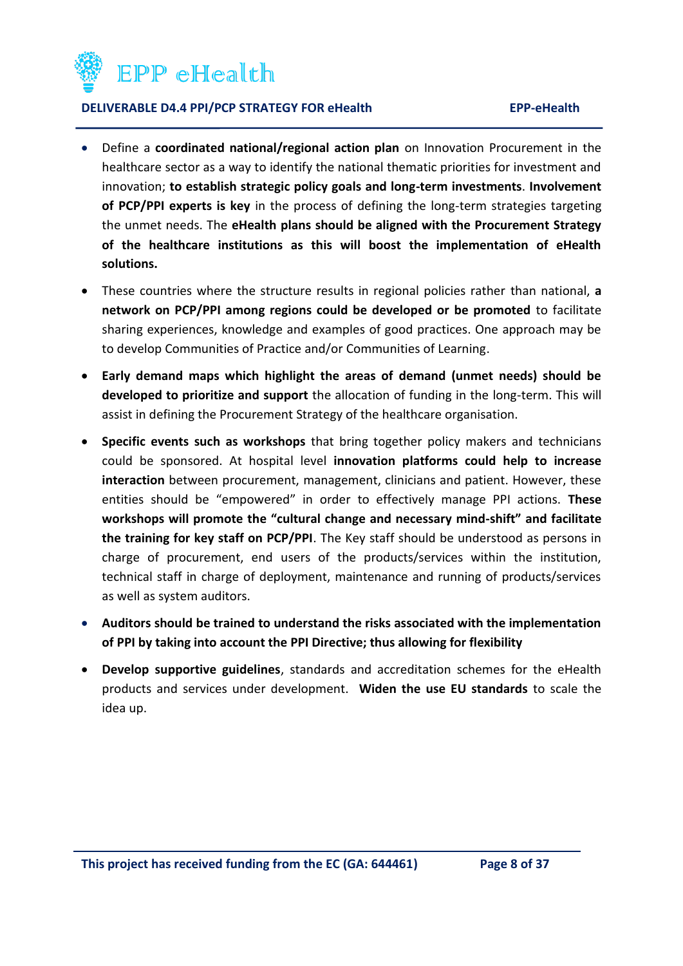

- Define a **coordinated national/regional action plan** on Innovation Procurement in the healthcare sector as a way to identify the national thematic priorities for investment and innovation; **to establish strategic policy goals and long-term investments**. **Involvement of PCP/PPI experts is key** in the process of defining the long-term strategies targeting the unmet needs. The **eHealth plans should be aligned with the Procurement Strategy of the healthcare institutions as this will boost the implementation of eHealth solutions.**
- These countries where the structure results in regional policies rather than national, **a network on PCP/PPI among regions could be developed or be promoted** to facilitate sharing experiences, knowledge and examples of good practices. One approach may be to develop Communities of Practice and/or Communities of Learning.
- **Early demand maps which highlight the areas of demand (unmet needs) should be developed to prioritize and support** the allocation of funding in the long-term. This will assist in defining the Procurement Strategy of the healthcare organisation.
- **Specific events such as workshops** that bring together policy makers and technicians could be sponsored. At hospital level **innovation platforms could help to increase interaction** between procurement, management, clinicians and patient. However, these entities should be "empowered" in order to effectively manage PPI actions. **These workshops will promote the "cultural change and necessary mind-shift" and facilitate the training for key staff on PCP/PPI**. The Key staff should be understood as persons in charge of procurement, end users of the products/services within the institution, technical staff in charge of deployment, maintenance and running of products/services as well as system auditors.
- **Auditors should be trained to understand the risks associated with the implementation of PPI by taking into account the PPI Directive; thus allowing for flexibility**
- **Develop supportive guidelines**, standards and accreditation schemes for the eHealth products and services under development. **Widen the use EU standards** to scale the idea up.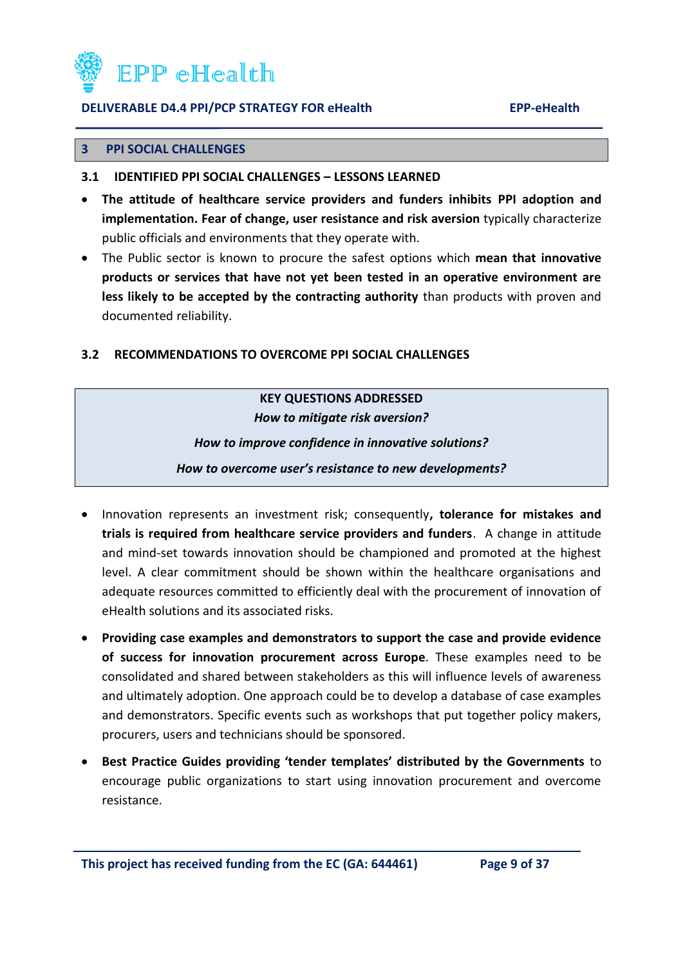

#### <span id="page-8-0"></span>**3 PPI SOCIAL CHALLENGES**

- <span id="page-8-1"></span>**3.1 IDENTIFIED PPI SOCIAL CHALLENGES – LESSONS LEARNED**
- **The attitude of healthcare service providers and funders inhibits PPI adoption and implementation. Fear of change, user resistance and risk aversion** typically characterize public officials and environments that they operate with.
- The Public sector is known to procure the safest options which **mean that innovative products or services that have not yet been tested in an operative environment are less likely to be accepted by the contracting authority** than products with proven and documented reliability.

#### <span id="page-8-2"></span>**3.2 RECOMMENDATIONS TO OVERCOME PPI SOCIAL CHALLENGES**

## **KEY QUESTIONS ADDRESSED**  *How to mitigate risk aversion? How to improve confidence in innovative solutions? How to overcome user's resistance to new developments?*

- Innovation represents an investment risk; consequently**, tolerance for mistakes and trials is required from healthcare service providers and funders**. A change in attitude and mind-set towards innovation should be championed and promoted at the highest level. A clear commitment should be shown within the healthcare organisations and adequate resources committed to efficiently deal with the procurement of innovation of eHealth solutions and its associated risks.
- **Providing case examples and demonstrators to support the case and provide evidence of success for innovation procurement across Europe**. These examples need to be consolidated and shared between stakeholders as this will influence levels of awareness and ultimately adoption. One approach could be to develop a database of case examples and demonstrators. Specific events such as workshops that put together policy makers, procurers, users and technicians should be sponsored.
- **Best Practice Guides providing 'tender templates' distributed by the Governments** to encourage public organizations to start using innovation procurement and overcome resistance.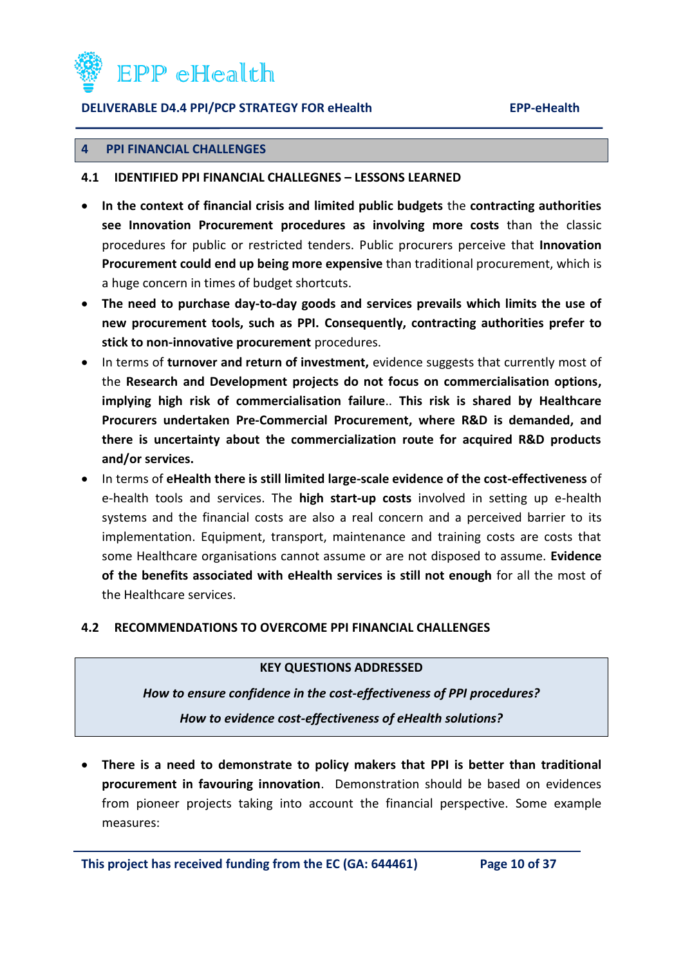

#### <span id="page-9-0"></span>**4 PPI FINANCIAL CHALLENGES**

#### <span id="page-9-1"></span>**4.1 IDENTIFIED PPI FINANCIAL CHALLEGNES – LESSONS LEARNED**

- **In the context of financial crisis and limited public budgets** the **contracting authorities see Innovation Procurement procedures as involving more costs** than the classic procedures for public or restricted tenders. Public procurers perceive that **Innovation Procurement could end up being more expensive** than traditional procurement, which is a huge concern in times of budget shortcuts.
- **The need to purchase day-to-day goods and services prevails which limits the use of new procurement tools, such as PPI. Consequently, contracting authorities prefer to stick to non-innovative procurement** procedures.
- In terms of **turnover and return of investment**, evidence suggests that currently most of the **Research and Development projects do not focus on commercialisation options, implying high risk of commercialisation failure**.. **This risk is shared by Healthcare Procurers undertaken Pre-Commercial Procurement, where R&D is demanded, and there is uncertainty about the commercialization route for acquired R&D products and/or services.**
- In terms of **eHealth there is still limited large-scale evidence of the cost-effectiveness** of e-health tools and services. The **high start-up costs** involved in setting up e-health systems and the financial costs are also a real concern and a perceived barrier to its implementation. Equipment, transport, maintenance and training costs are costs that some Healthcare organisations cannot assume or are not disposed to assume. **Evidence of the benefits associated with eHealth services is still not enough** for all the most of the Healthcare services.

#### <span id="page-9-2"></span>**4.2 RECOMMENDATIONS TO OVERCOME PPI FINANCIAL CHALLENGES**

#### **KEY QUESTIONS ADDRESSED**

#### *How to ensure confidence in the cost-effectiveness of PPI procedures?*

*How to evidence cost-effectiveness of eHealth solutions?*

 **There is a need to demonstrate to policy makers that PPI is better than traditional procurement in favouring innovation**. Demonstration should be based on evidences from pioneer projects taking into account the financial perspective. Some example measures:

**This project has received funding from the EC (GA: 644461) Page 10 of 37**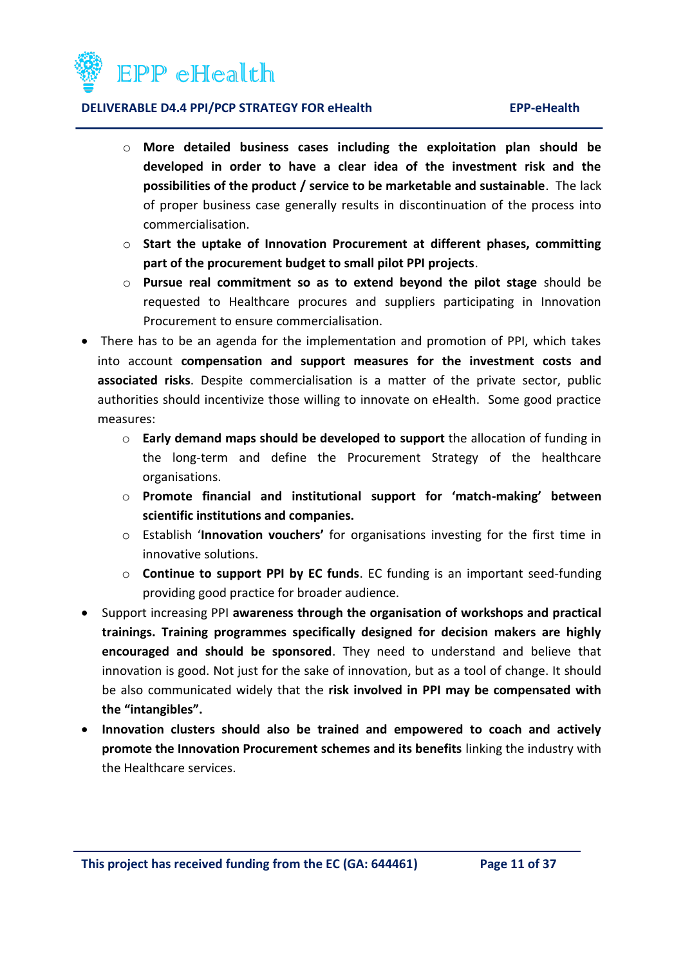

- o **More detailed business cases including the exploitation plan should be developed in order to have a clear idea of the investment risk and the possibilities of the product / service to be marketable and sustainable**. The lack of proper business case generally results in discontinuation of the process into commercialisation.
- o **Start the uptake of Innovation Procurement at different phases, committing part of the procurement budget to small pilot PPI projects**.
- o **Pursue real commitment so as to extend beyond the pilot stage** should be requested to Healthcare procures and suppliers participating in Innovation Procurement to ensure commercialisation.
- There has to be an agenda for the implementation and promotion of PPI, which takes into account **compensation and support measures for the investment costs and associated risks**. Despite commercialisation is a matter of the private sector, public authorities should incentivize those willing to innovate on eHealth. Some good practice measures:
	- o **Early demand maps should be developed to support** the allocation of funding in the long-term and define the Procurement Strategy of the healthcare organisations.
	- o **Promote financial and institutional support for 'match-making' between scientific institutions and companies.**
	- o Establish '**Innovation vouchers'** for organisations investing for the first time in innovative solutions.
	- o **Continue to support PPI by EC funds**. EC funding is an important seed-funding providing good practice for broader audience.
- Support increasing PPI **awareness through the organisation of workshops and practical trainings. Training programmes specifically designed for decision makers are highly encouraged and should be sponsored**. They need to understand and believe that innovation is good. Not just for the sake of innovation, but as a tool of change. It should be also communicated widely that the **risk involved in PPI may be compensated with the "intangibles".**
- **Innovation clusters should also be trained and empowered to coach and actively promote the Innovation Procurement schemes and its benefits** linking the industry with the Healthcare services.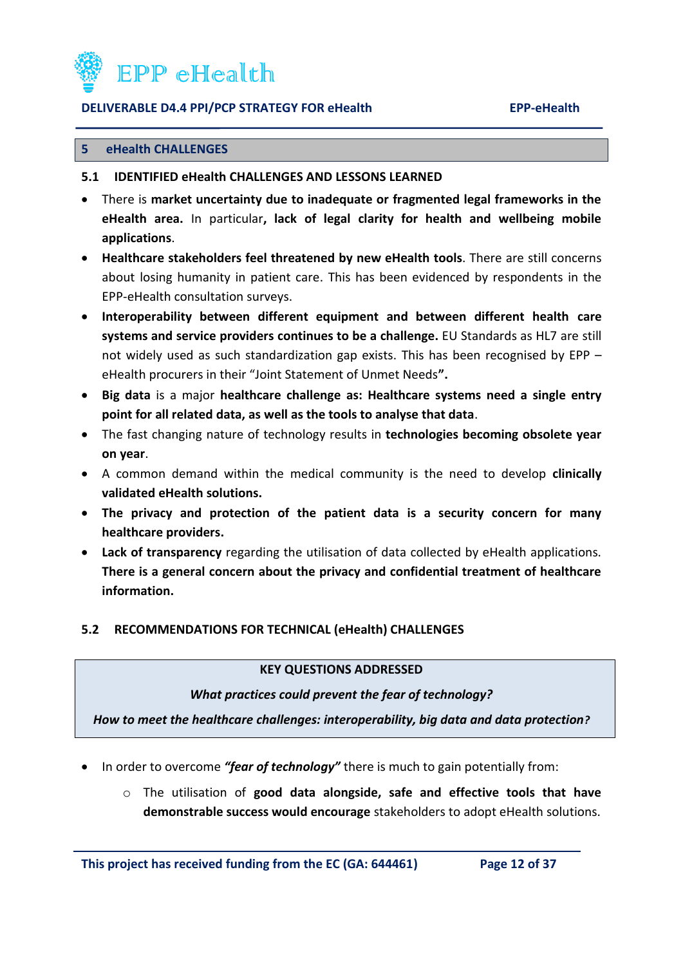

#### <span id="page-11-0"></span>**5 eHealth CHALLENGES**

#### <span id="page-11-1"></span>**5.1 IDENTIFIED eHealth CHALLENGES AND LESSONS LEARNED**

- There is **market uncertainty due to inadequate or fragmented legal frameworks in the eHealth area.** In particular**, lack of legal clarity for health and wellbeing mobile applications**.
- **Healthcare stakeholders feel threatened by new eHealth tools**. There are still concerns about losing humanity in patient care. This has been evidenced by respondents in the EPP-eHealth consultation surveys.
- **Interoperability between different equipment and between different health care systems and service providers continues to be a challenge.** EU Standards as HL7 are still not widely used as such standardization gap exists. This has been recognised by EPP – eHealth procurers in their "Joint Statement of Unmet Needs**".**
- **Big data** is a major **healthcare challenge as: Healthcare systems need a single entry point for all related data, as well as the tools to analyse that data**.
- The fast changing nature of technology results in **technologies becoming obsolete year on year**.
- A common demand within the medical community is the need to develop **clinically validated eHealth solutions.**
- **The privacy and protection of the patient data is a security concern for many healthcare providers.**
- **Lack of transparency** regarding the utilisation of data collected by eHealth applications. **There is a general concern about the privacy and confidential treatment of healthcare information.**

#### <span id="page-11-2"></span>**5.2 RECOMMENDATIONS FOR TECHNICAL (eHealth) CHALLENGES**

#### **KEY QUESTIONS ADDRESSED**

#### *What practices could prevent the fear of technology?*

*How to meet the healthcare challenges: interoperability, big data and data protection?*

- In order to overcome *"fear of technology"* there is much to gain potentially from:
	- o The utilisation of **good data alongside, safe and effective tools that have demonstrable success would encourage** stakeholders to adopt eHealth solutions.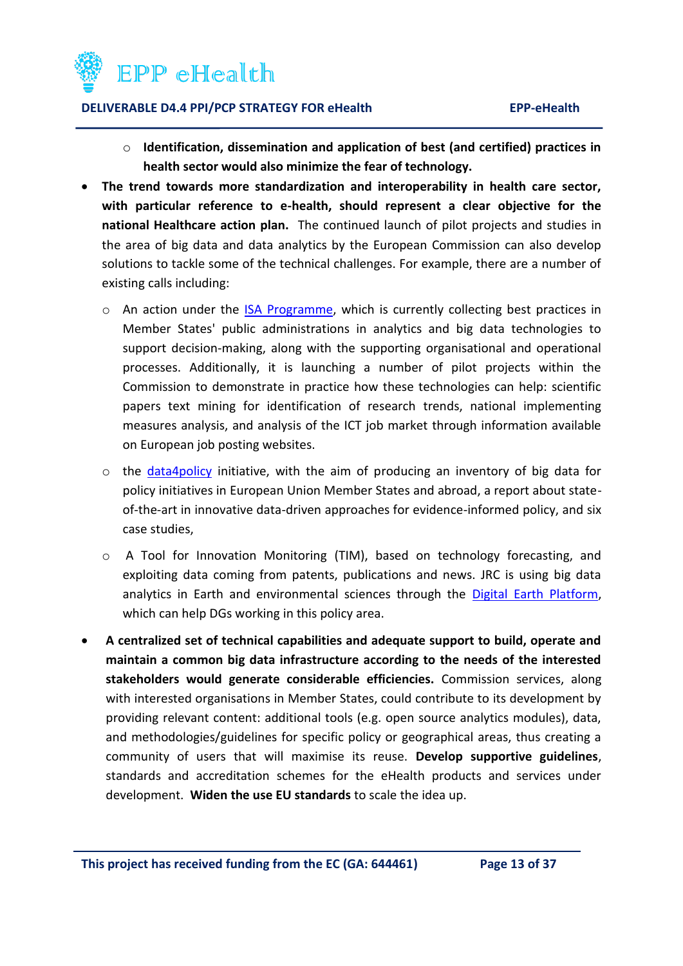

- o **Identification, dissemination and application of best (and certified) practices in health sector would also minimize the fear of technology.**
- **The trend towards more standardization and interoperability in health care sector, with particular reference to e-health, should represent a clear objective for the national Healthcare action plan.** The continued launch of pilot projects and studies in the area of big data and data analytics by the European Commission can also develop solutions to tackle some of the technical challenges. For example, there are a number of existing calls including:
	- o An action under the [ISA Programme,](http://ec.europa.eu/isa/actions/01-trusted-information-exchange/1-22action_en.htm) which is currently collecting best practices in Member States' public administrations in analytics and big data technologies to support decision-making, along with the supporting organisational and operational processes. Additionally, it is launching a number of pilot projects within the Commission to demonstrate in practice how these technologies can help: scientific papers text mining for identification of research trends, national implementing measures analysis, and analysis of the ICT job market through information available on European job posting websites.
	- o the [data4policy](http://www.data4policy.eu/) initiative, with the aim of producing an inventory of big data for policy initiatives in European Union Member States and abroad, a report about stateof-the-art in innovative data-driven approaches for evidence-informed policy, and six case studies,
	- o A Tool for Innovation Monitoring (TIM), based on technology forecasting, and exploiting data coming from patents, publications and news. JRC is using big data analytics in Earth and environmental sciences through the [Digital Earth Platform,](https://ec.europa.eu/jrc/en/research-topic/digital-earth) which can help DGs working in this policy area.
- **A centralized set of technical capabilities and adequate support to build, operate and maintain a common big data infrastructure according to the needs of the interested stakeholders would generate considerable efficiencies.** Commission services, along with interested organisations in Member States, could contribute to its development by providing relevant content: additional tools (e.g. open source analytics modules), data, and methodologies/guidelines for specific policy or geographical areas, thus creating a community of users that will maximise its reuse. **Develop supportive guidelines**, standards and accreditation schemes for the eHealth products and services under development. **Widen the use EU standards** to scale the idea up.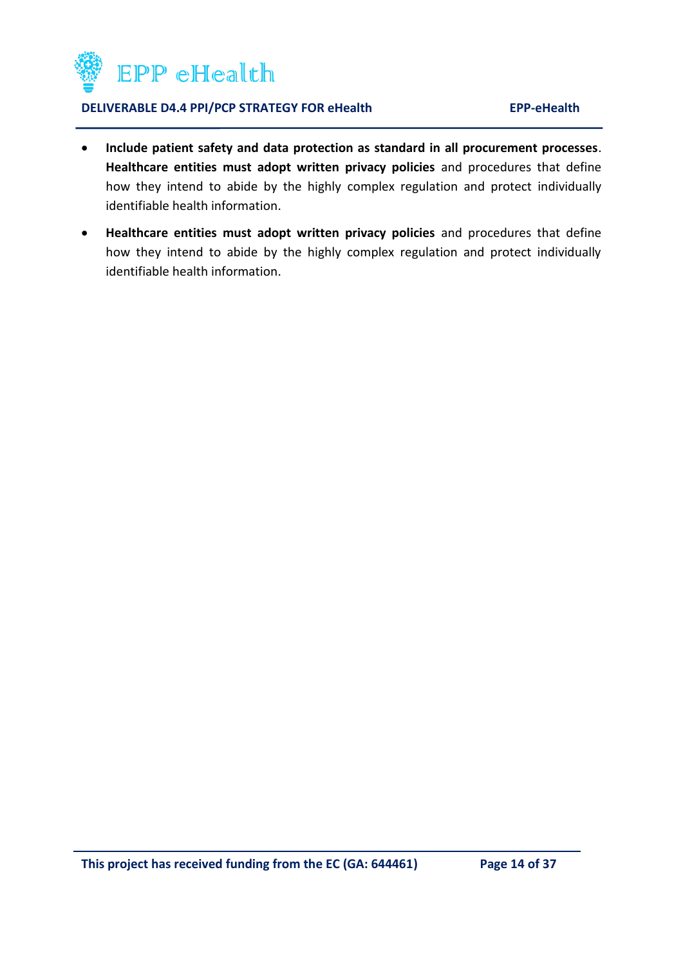

- **Include patient safety and data protection as standard in all procurement processes**. **Healthcare entities must adopt written privacy policies** and procedures that define how they intend to abide by the highly complex regulation and protect individually identifiable health information.
- **Healthcare entities must adopt written privacy policies** and procedures that define how they intend to abide by the highly complex regulation and protect individually identifiable health information.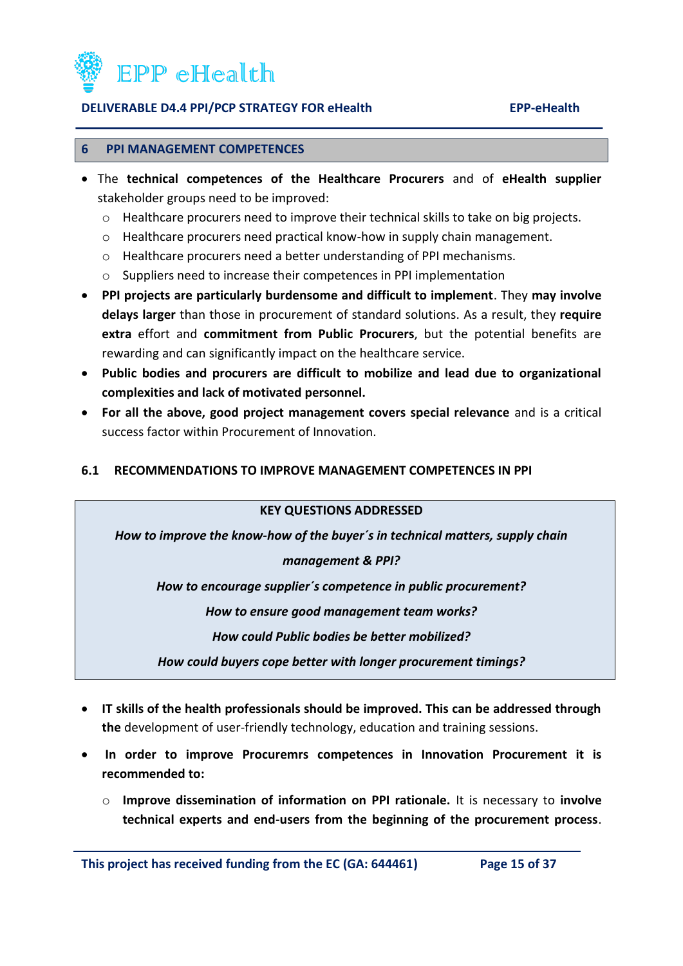

#### <span id="page-14-0"></span>**6 PPI MANAGEMENT COMPETENCES**

- The **technical competences of the Healthcare Procurers** and of **eHealth supplier** stakeholder groups need to be improved:
	- o Healthcare procurers need to improve their technical skills to take on big projects.
	- o Healthcare procurers need practical know-how in supply chain management.
	- o Healthcare procurers need a better understanding of PPI mechanisms.
	- o Suppliers need to increase their competences in PPI implementation
- **PPI projects are particularly burdensome and difficult to implement**. They **may involve delays larger** than those in procurement of standard solutions. As a result, they **require extra** effort and **commitment from Public Procurers**, but the potential benefits are rewarding and can significantly impact on the healthcare service.
- **Public bodies and procurers are difficult to mobilize and lead due to organizational complexities and lack of motivated personnel.**
- **For all the above, good project management covers special relevance** and is a critical success factor within Procurement of Innovation.

#### <span id="page-14-1"></span>**6.1 RECOMMENDATIONS TO IMPROVE MANAGEMENT COMPETENCES IN PPI**

#### **KEY QUESTIONS ADDRESSED**

*How to improve the know-how of the buyer´s in technical matters, supply chain* 

#### *management & PPI?*

*How to encourage supplier´s competence in public procurement?*

*How to ensure good management team works?*

*How could Public bodies be better mobilized?*

*How could buyers cope better with longer procurement timings?*

- **IT skills of the health professionals should be improved. This can be addressed through the** development of user-friendly technology, education and training sessions.
- **In order to improve Procuremrs competences in Innovation Procurement it is recommended to:** 
	- o **Improve dissemination of information on PPI rationale.** It is necessary to **involve technical experts and end-users from the beginning of the procurement process**.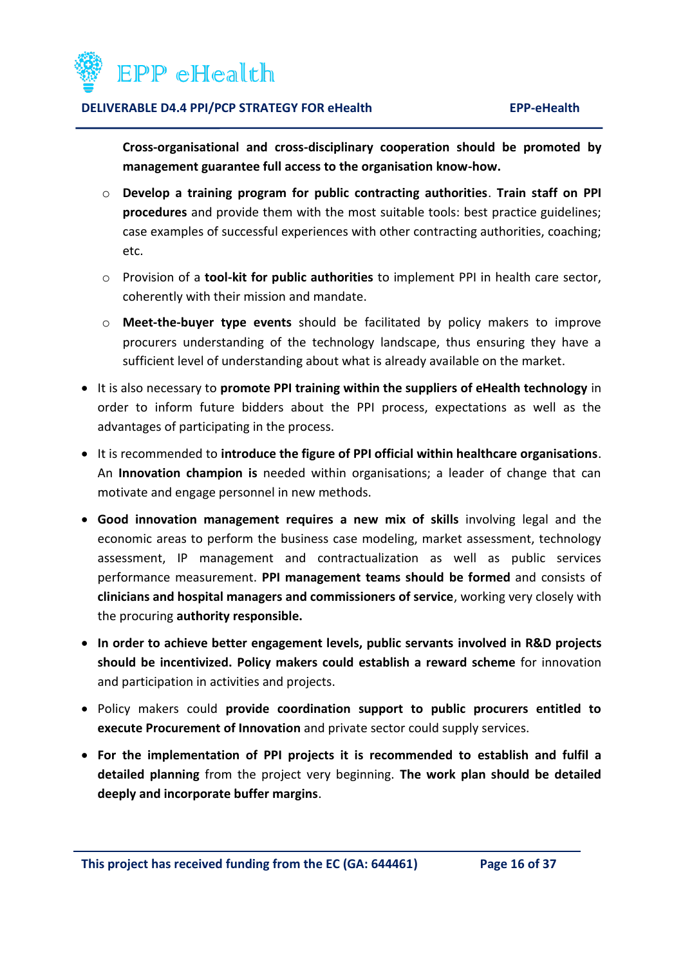

**Cross-organisational and cross-disciplinary cooperation should be promoted by management guarantee full access to the organisation know-how.**

- o **Develop a training program for public contracting authorities**. **Train staff on PPI procedures** and provide them with the most suitable tools: best practice guidelines; case examples of successful experiences with other contracting authorities, coaching; etc.
- o Provision of a **tool-kit for public authorities** to implement PPI in health care sector, coherently with their mission and mandate.
- o **Meet-the-buyer type events** should be facilitated by policy makers to improve procurers understanding of the technology landscape, thus ensuring they have a sufficient level of understanding about what is already available on the market.
- It is also necessary to **promote PPI training within the suppliers of eHealth technology** in order to inform future bidders about the PPI process, expectations as well as the advantages of participating in the process.
- It is recommended to **introduce the figure of PPI official within healthcare organisations**. An **Innovation champion is** needed within organisations; a leader of change that can motivate and engage personnel in new methods.
- **Good innovation management requires a new mix of skills** involving legal and the economic areas to perform the business case modeling, market assessment, technology assessment, IP management and contractualization as well as public services performance measurement. **PPI management teams should be formed** and consists of **clinicians and hospital managers and commissioners of service**, working very closely with the procuring **authority responsible.**
- **In order to achieve better engagement levels, public servants involved in R&D projects should be incentivized. Policy makers could establish a reward scheme** for innovation and participation in activities and projects.
- Policy makers could **provide coordination support to public procurers entitled to execute Procurement of Innovation** and private sector could supply services.
- **For the implementation of PPI projects it is recommended to establish and fulfil a detailed planning** from the project very beginning. **The work plan should be detailed deeply and incorporate buffer margins**.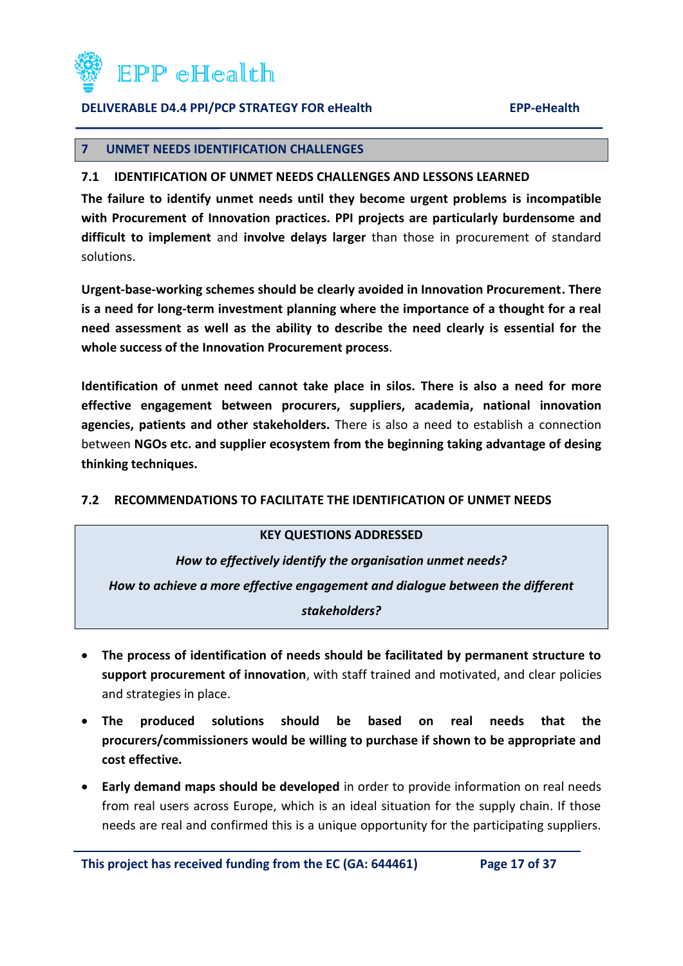

#### <span id="page-16-0"></span>**7 UNMET NEEDS IDENTIFICATION CHALLENGES**

#### <span id="page-16-1"></span>**7.1 IDENTIFICATION OF UNMET NEEDS CHALLENGES AND LESSONS LEARNED**

**The failure to identify unmet needs until they become urgent problems is incompatible with Procurement of Innovation practices. PPI projects are particularly burdensome and difficult to implement** and **involve delays larger** than those in procurement of standard solutions.

**Urgent-base-working schemes should be clearly avoided in Innovation Procurement. There is a need for long-term investment planning where the importance of a thought for a real need assessment as well as the ability to describe the need clearly is essential for the whole success of the Innovation Procurement process**.

**Identification of unmet need cannot take place in silos. There is also a need for more effective engagement between procurers, suppliers, academia, national innovation agencies, patients and other stakeholders.** There is also a need to establish a connection between **NGOs etc. and supplier ecosystem from the beginning taking advantage of desing thinking techniques.**

#### <span id="page-16-2"></span>**7.2 RECOMMENDATIONS TO FACILITATE THE IDENTIFICATION OF UNMET NEEDS**

#### **KEY QUESTIONS ADDRESSED**

*How to effectively identify the organisation unmet needs?*

*How to achieve a more effective engagement and dialogue between the different* 

*stakeholders?*

- **The process of identification of needs should be facilitated by permanent structure to support procurement of innovation**, with staff trained and motivated, and clear policies and strategies in place.
- **The produced solutions should be based on real needs that the procurers/commissioners would be willing to purchase if shown to be appropriate and cost effective.**
- **Early demand maps should be developed** in order to provide information on real needs from real users across Europe, which is an ideal situation for the supply chain. If those needs are real and confirmed this is a unique opportunity for the participating suppliers.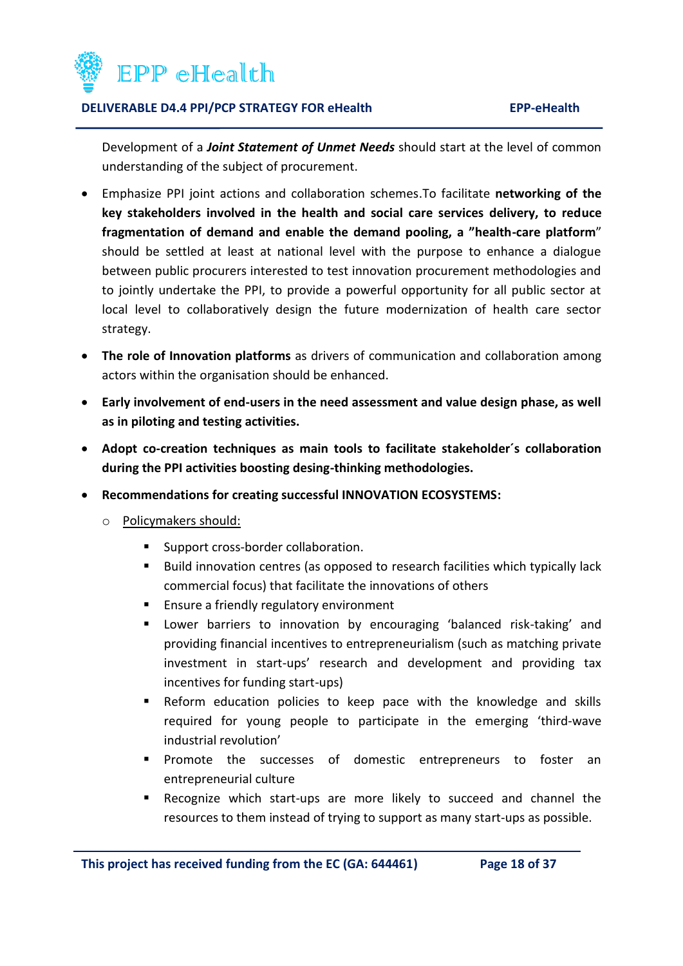

Development of a *Joint Statement of Unmet Needs* should start at the level of common understanding of the subject of procurement.

- Emphasize PPI joint actions and collaboration schemes.To facilitate **networking of the key stakeholders involved in the health and social care services delivery, to reduce fragmentation of demand and enable the demand pooling, a "health-care platform**" should be settled at least at national level with the purpose to enhance a dialogue between public procurers interested to test innovation procurement methodologies and to jointly undertake the PPI, to provide a powerful opportunity for all public sector at local level to collaboratively design the future modernization of health care sector strategy.
- **The role of Innovation platforms** as drivers of communication and collaboration among actors within the organisation should be enhanced.
- **Early involvement of end-users in the need assessment and value design phase, as well as in piloting and testing activities.**
- **Adopt co-creation techniques as main tools to facilitate stakeholder´s collaboration during the PPI activities boosting desing-thinking methodologies.**
- **Recommendations for creating successful INNOVATION ECOSYSTEMS:**
	- o Policymakers should:
		- **Support cross-border collaboration.**
		- **Build innovation centres (as opposed to research facilities which typically lack** commercial focus) that facilitate the innovations of others
		- **Ensure a friendly regulatory environment**
		- Lower barriers to innovation by encouraging 'balanced risk-taking' and providing financial incentives to entrepreneurialism (such as matching private investment in start-ups' research and development and providing tax incentives for funding start-ups)
		- Reform education policies to keep pace with the knowledge and skills required for young people to participate in the emerging 'third-wave industrial revolution'
		- **Promote the successes of domestic entrepreneurs to foster an** entrepreneurial culture
		- Recognize which start-ups are more likely to succeed and channel the resources to them instead of trying to support as many start-ups as possible.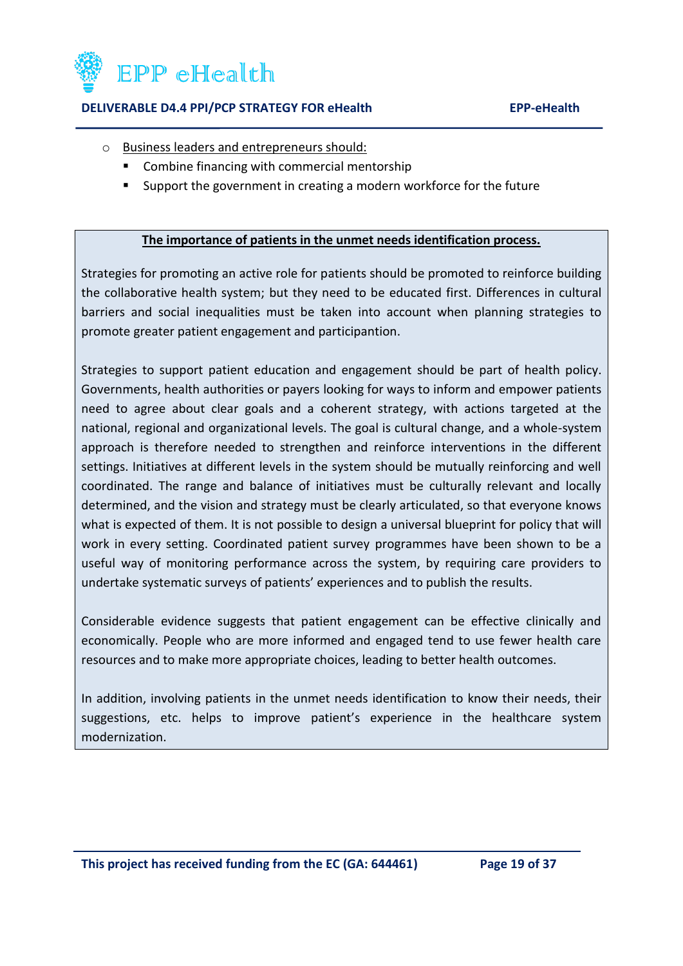

- o Business leaders and entrepreneurs should:
	- Combine financing with commercial mentorship
	- Support the government in creating a modern workforce for the future

#### **The importance of patients in the unmet needs identification process.**

Strategies for promoting an active role for patients should be promoted to reinforce building the collaborative health system; but they need to be educated first. Differences in cultural barriers and social inequalities must be taken into account when planning strategies to promote greater patient engagement and participantion.

Strategies to support patient education and engagement should be part of health policy. Governments, health authorities or payers looking for ways to inform and empower patients need to agree about clear goals and a coherent strategy, with actions targeted at the national, regional and organizational levels. The goal is cultural change, and a whole-system approach is therefore needed to strengthen and reinforce interventions in the different settings. Initiatives at different levels in the system should be mutually reinforcing and well coordinated. The range and balance of initiatives must be culturally relevant and locally determined, and the vision and strategy must be clearly articulated, so that everyone knows what is expected of them. It is not possible to design a universal blueprint for policy that will work in every setting. Coordinated patient survey programmes have been shown to be a useful way of monitoring performance across the system, by requiring care providers to undertake systematic surveys of patients' experiences and to publish the results.

Considerable evidence suggests that patient engagement can be effective clinically and economically. People who are more informed and engaged tend to use fewer health care resources and to make more appropriate choices, leading to better health outcomes.

In addition, involving patients in the unmet needs identification to know their needs, their suggestions, etc. helps to improve patient's experience in the healthcare system modernization.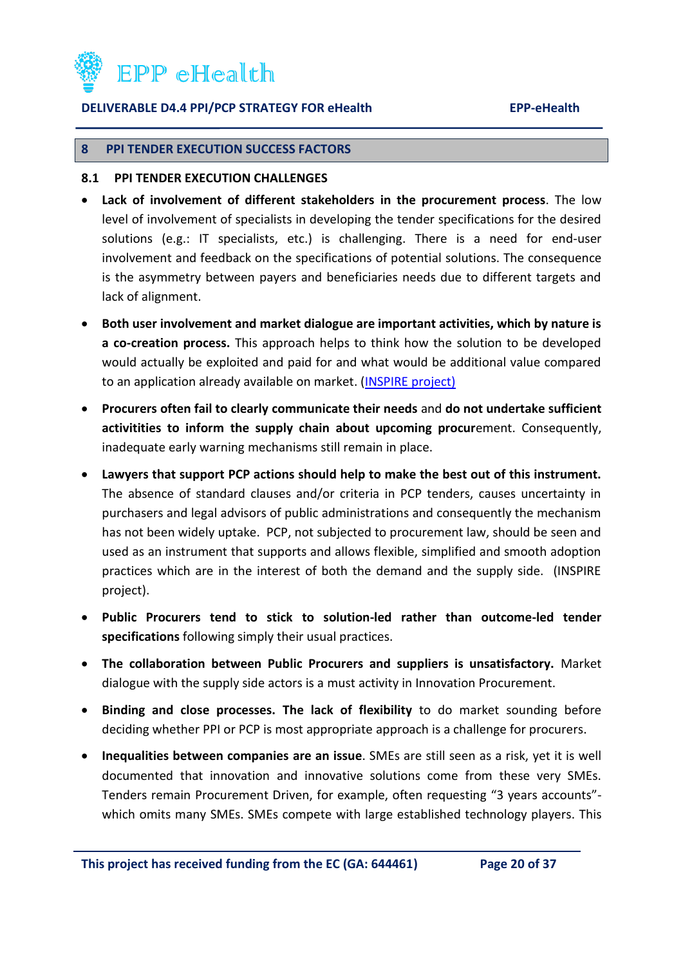

#### <span id="page-19-0"></span>**8 PPI TENDER EXECUTION SUCCESS FACTORS**

#### <span id="page-19-1"></span>**8.1 PPI TENDER EXECUTION CHALLENGES**

- **Lack of involvement of different stakeholders in the procurement process**. The low level of involvement of specialists in developing the tender specifications for the desired solutions (e.g.: IT specialists, etc.) is challenging. There is a need for end-user involvement and feedback on the specifications of potential solutions. The consequence is the asymmetry between payers and beneficiaries needs due to different targets and lack of alignment.
- **Both user involvement and market dialogue are important activities, which by nature is a co-creation process.** This approach helps to think how the solution to be developed would actually be exploited and paid for and what would be additional value compared to an application already available on market. [\(INSPIRE](http://inspirecampus.eu/) project)
- **Procurers often fail to clearly communicate their needs** and **do not undertake sufficient activitities to inform the supply chain about upcoming procur**ement. Consequently, inadequate early warning mechanisms still remain in place.
- **Lawyers that support PCP actions should help to make the best out of this instrument.** The absence of standard clauses and/or criteria in PCP tenders, causes uncertainty in purchasers and legal advisors of public administrations and consequently the mechanism has not been widely uptake. PCP, not subjected to procurement law, should be seen and used as an instrument that supports and allows flexible, simplified and smooth adoption practices which are in the interest of both the demand and the supply side. (INSPIRE project).
- **Public Procurers tend to stick to solution-led rather than outcome-led tender specifications** following simply their usual practices.
- **The collaboration between Public Procurers and suppliers is unsatisfactory.** Market dialogue with the supply side actors is a must activity in Innovation Procurement.
- **Binding and close processes. The lack of flexibility** to do market sounding before deciding whether PPI or PCP is most appropriate approach is a challenge for procurers.
- **Inequalities between companies are an issue**. SMEs are still seen as a risk, yet it is well documented that innovation and innovative solutions come from these very SMEs. Tenders remain Procurement Driven, for example, often requesting "3 years accounts" which omits many SMEs. SMEs compete with large established technology players. This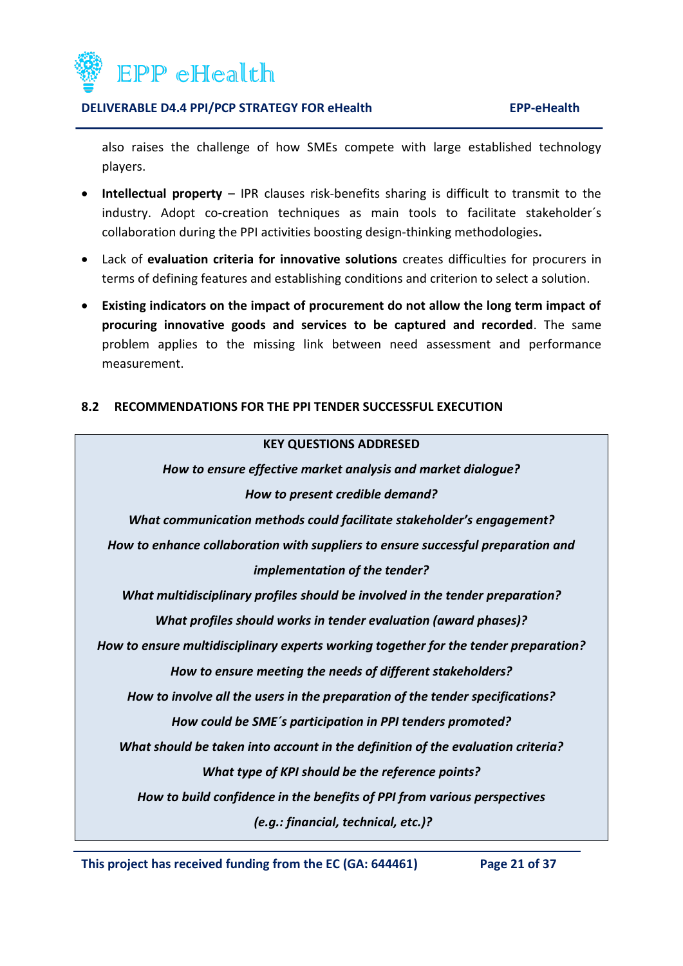

also raises the challenge of how SMEs compete with large established technology players.

- **Intellectual property** IPR clauses risk-benefits sharing is difficult to transmit to the industry. Adopt co-creation techniques as main tools to facilitate stakeholder´s collaboration during the PPI activities boosting design-thinking methodologies**.**
- Lack of **evaluation criteria for innovative solutions** creates difficulties for procurers in terms of defining features and establishing conditions and criterion to select a solution.
- **Existing indicators on the impact of procurement do not allow the long term impact of procuring innovative goods and services to be captured and recorded**. The same problem applies to the missing link between need assessment and performance measurement.

### <span id="page-20-0"></span>**8.2 RECOMMENDATIONS FOR THE PPI TENDER SUCCESSFUL EXECUTION**



**This project has received funding from the EC (GA: 644461) Page 21 of 37**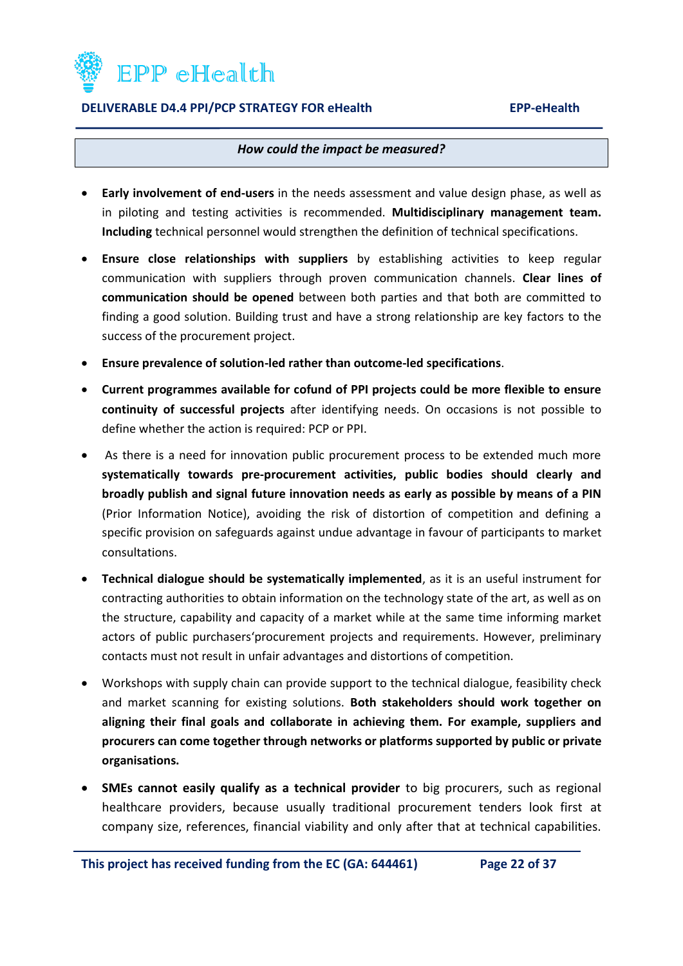

#### *How could the impact be measured?*

- **Early involvement of end-users** in the needs assessment and value design phase, as well as in piloting and testing activities is recommended. **Multidisciplinary management team. Including** technical personnel would strengthen the definition of technical specifications.
- **Ensure close relationships with suppliers** by establishing activities to keep regular communication with suppliers through proven communication channels. **Clear lines of communication should be opened** between both parties and that both are committed to finding a good solution. Building trust and have a strong relationship are key factors to the success of the procurement project.
- **Ensure prevalence of solution-led rather than outcome-led specifications**.
- **Current programmes available for cofund of PPI projects could be more flexible to ensure continuity of successful projects** after identifying needs. On occasions is not possible to define whether the action is required: PCP or PPI.
- As there is a need for innovation public procurement process to be extended much more **systematically towards pre-procurement activities, public bodies should clearly and broadly publish and signal future innovation needs as early as possible by means of a PIN** (Prior Information Notice), avoiding the risk of distortion of competition and defining a specific provision on safeguards against undue advantage in favour of participants to market consultations.
- **Technical dialogue should be systematically implemented**, as it is an useful instrument for contracting authorities to obtain information on the technology state of the art, as well as on the structure, capability and capacity of a market while at the same time informing market actors of public purchasers'procurement projects and requirements. However, preliminary contacts must not result in unfair advantages and distortions of competition.
- Workshops with supply chain can provide support to the technical dialogue, feasibility check and market scanning for existing solutions. **Both stakeholders should work together on aligning their final goals and collaborate in achieving them. For example, suppliers and procurers can come together through networks or platforms supported by public or private organisations.**
- **SMEs cannot easily qualify as a technical provider** to big procurers, such as regional healthcare providers, because usually traditional procurement tenders look first at company size, references, financial viability and only after that at technical capabilities.

**This project has received funding from the EC (GA: 644461) Page 22 of 37**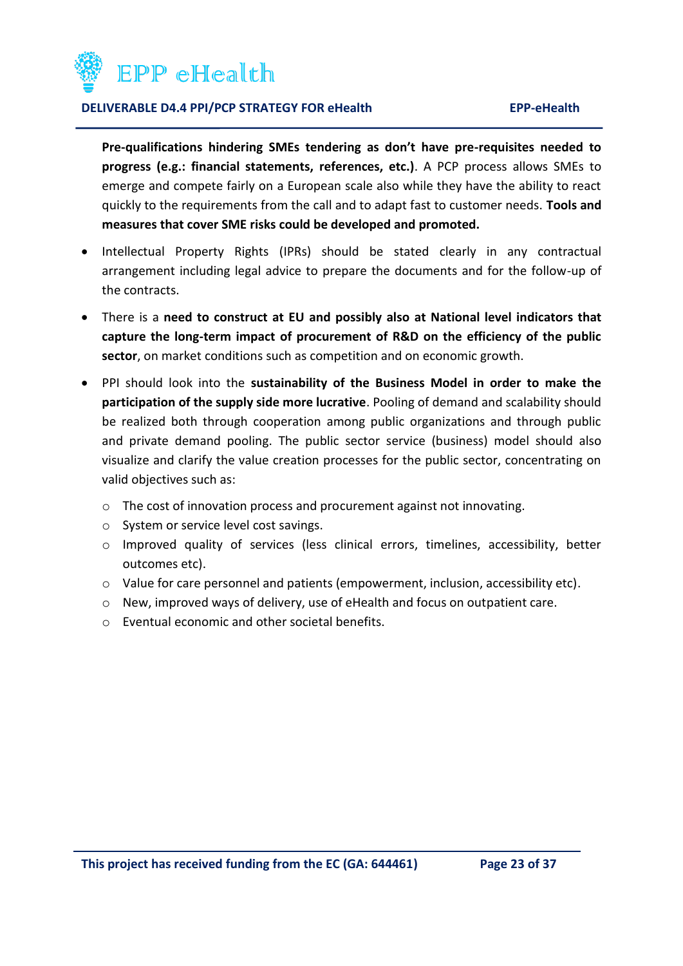

**Pre-qualifications hindering SMEs tendering as don't have pre-requisites needed to progress (e.g.: financial statements, references, etc.)**. A PCP process allows SMEs to emerge and compete fairly on a European scale also while they have the ability to react quickly to the requirements from the call and to adapt fast to customer needs. **Tools and measures that cover SME risks could be developed and promoted.** 

- Intellectual Property Rights (IPRs) should be stated clearly in any contractual arrangement including legal advice to prepare the documents and for the follow-up of the contracts.
- There is a **need to construct at EU and possibly also at National level indicators that capture the long-term impact of procurement of R&D on the efficiency of the public sector**, on market conditions such as competition and on economic growth.
- PPI should look into the **sustainability of the Business Model in order to make the participation of the supply side more lucrative**. Pooling of demand and scalability should be realized both through cooperation among public organizations and through public and private demand pooling. The public sector service (business) model should also visualize and clarify the value creation processes for the public sector, concentrating on valid objectives such as:
	- o The cost of innovation process and procurement against not innovating.
	- o System or service level cost savings.
	- o Improved quality of services (less clinical errors, timelines, accessibility, better outcomes etc).
	- o Value for care personnel and patients (empowerment, inclusion, accessibility etc).
	- o New, improved ways of delivery, use of eHealth and focus on outpatient care.
	- o Eventual economic and other societal benefits.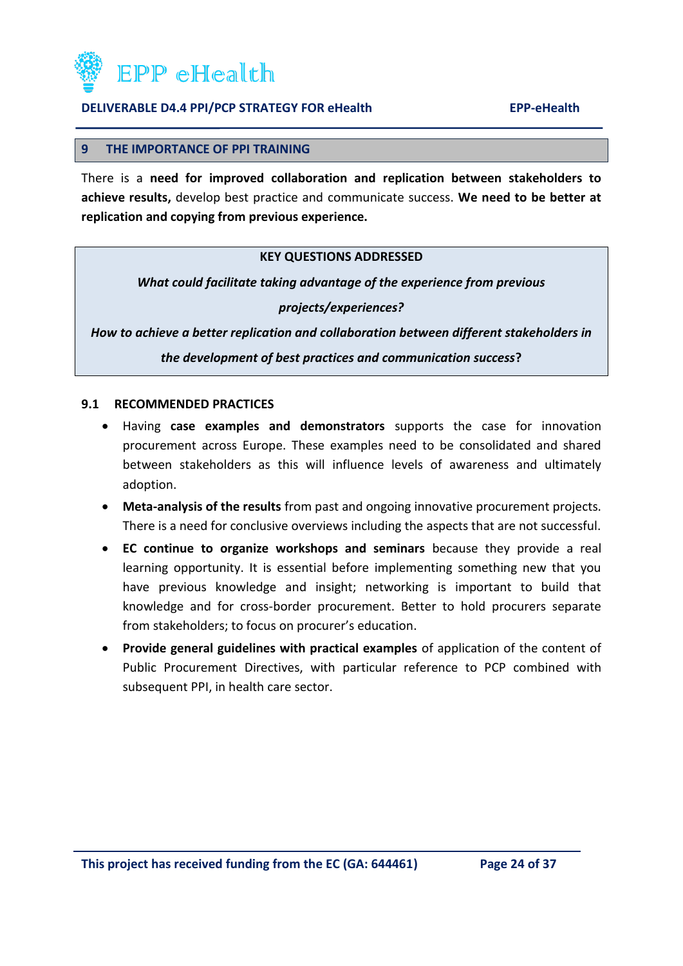

#### <span id="page-23-0"></span>**9 THE IMPORTANCE OF PPI TRAINING**

There is a **need for improved collaboration and replication between stakeholders to achieve results,** develop best practice and communicate success. **We need to be better at replication and copying from previous experience.**

### **KEY QUESTIONS ADDRESSED**

*What could facilitate taking advantage of the experience from previous* 

*projects/experiences?*

*How to achieve a better replication and collaboration between different stakeholders in the development of best practices and communication success***?**

#### <span id="page-23-1"></span>**9.1 RECOMMENDED PRACTICES**

- Having **case examples and demonstrators** supports the case for innovation procurement across Europe. These examples need to be consolidated and shared between stakeholders as this will influence levels of awareness and ultimately adoption.
- **Meta-analysis of the results** from past and ongoing innovative procurement projects. There is a need for conclusive overviews including the aspects that are not successful.
- **EC continue to organize workshops and seminars** because they provide a real learning opportunity. It is essential before implementing something new that you have previous knowledge and insight; networking is important to build that knowledge and for cross-border procurement. Better to hold procurers separate from stakeholders; to focus on procurer's education.
- **Provide general guidelines with practical examples** of application of the content of Public Procurement Directives, with particular reference to PCP combined with subsequent PPI, in health care sector.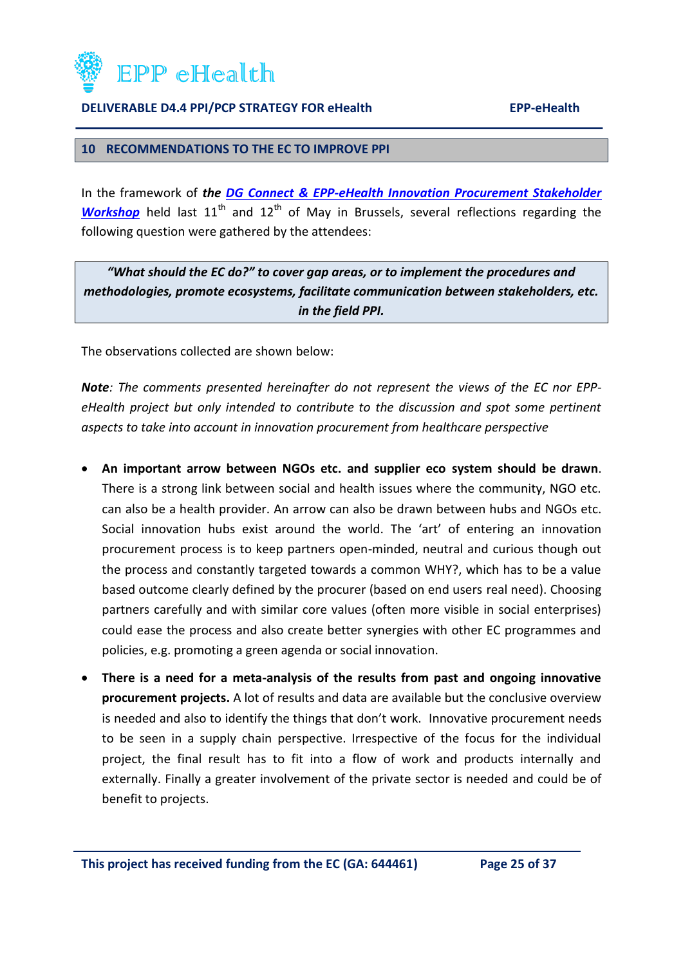

#### <span id="page-24-0"></span>**10 RECOMMENDATIONS TO THE EC TO IMPROVE PPI**

In the framework of *the [DG Connect & EPP-eHealth Innovation Procurement Stakeholder](http://innovationithospitals.com/Workshop_02.html)  [Workshop](http://innovationithospitals.com/Workshop_02.html)* held last 11<sup>th</sup> and 12<sup>th</sup> of May in Brussels, several reflections regarding the following question were gathered by the attendees:

*"What should the EC do?" to cover gap areas, or to implement the procedures and methodologies, promote ecosystems, facilitate communication between stakeholders, etc. in the field PPI.*

The observations collected are shown below:

*Note: The comments presented hereinafter do not represent the views of the EC nor EPPeHealth project but only intended to contribute to the discussion and spot some pertinent aspects to take into account in innovation procurement from healthcare perspective*

- **An important arrow between NGOs etc. and supplier eco system should be drawn**. There is a strong link between social and health issues where the community, NGO etc. can also be a health provider. An arrow can also be drawn between hubs and NGOs etc. Social innovation hubs exist around the world. The 'art' of entering an innovation procurement process is to keep partners open-minded, neutral and curious though out the process and constantly targeted towards a common WHY?, which has to be a value based outcome clearly defined by the procurer (based on end users real need). Choosing partners carefully and with similar core values (often more visible in social enterprises) could ease the process and also create better synergies with other EC programmes and policies, e.g. promoting a green agenda or social innovation.
- **There is a need for a meta-analysis of the results from past and ongoing innovative procurement projects.** A lot of results and data are available but the conclusive overview is needed and also to identify the things that don't work. Innovative procurement needs to be seen in a supply chain perspective. Irrespective of the focus for the individual project, the final result has to fit into a flow of work and products internally and externally. Finally a greater involvement of the private sector is needed and could be of benefit to projects.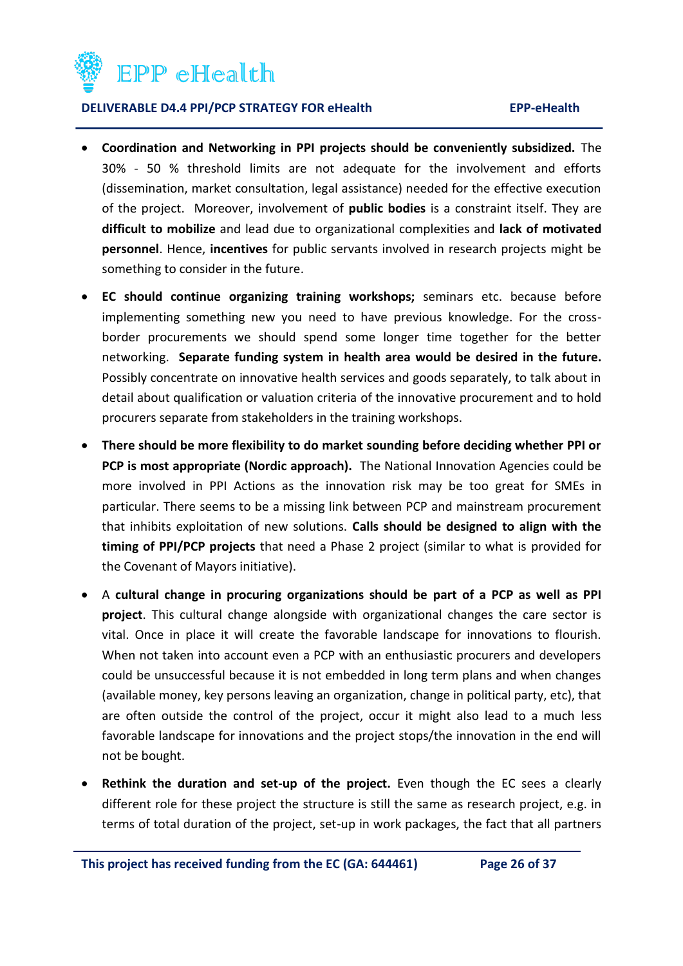

- **Coordination and Networking in PPI projects should be conveniently subsidized.** The 30% - 50 % threshold limits are not adequate for the involvement and efforts (dissemination, market consultation, legal assistance) needed for the effective execution of the project. Moreover, involvement of **public bodies** is a constraint itself. They are **difficult to mobilize** and lead due to organizational complexities and **lack of motivated personnel**. Hence, **incentives** for public servants involved in research projects might be something to consider in the future.
- **EC should continue organizing training workshops;** seminars etc. because before implementing something new you need to have previous knowledge. For the crossborder procurements we should spend some longer time together for the better networking. **Separate funding system in health area would be desired in the future.** Possibly concentrate on innovative health services and goods separately, to talk about in detail about qualification or valuation criteria of the innovative procurement and to hold procurers separate from stakeholders in the training workshops.
- **There should be more flexibility to do market sounding before deciding whether PPI or PCP is most appropriate (Nordic approach).** The National Innovation Agencies could be more involved in PPI Actions as the innovation risk may be too great for SMEs in particular. There seems to be a missing link between PCP and mainstream procurement that inhibits exploitation of new solutions. **Calls should be designed to align with the timing of PPI/PCP projects** that need a Phase 2 project (similar to what is provided for the Covenant of Mayors initiative).
- A **cultural change in procuring organizations should be part of a PCP as well as PPI project**. This cultural change alongside with organizational changes the care sector is vital. Once in place it will create the favorable landscape for innovations to flourish. When not taken into account even a PCP with an enthusiastic procurers and developers could be unsuccessful because it is not embedded in long term plans and when changes (available money, key persons leaving an organization, change in political party, etc), that are often outside the control of the project, occur it might also lead to a much less favorable landscape for innovations and the project stops/the innovation in the end will not be bought.
- **Rethink the duration and set-up of the project.** Even though the EC sees a clearly different role for these project the structure is still the same as research project, e.g. in terms of total duration of the project, set-up in work packages, the fact that all partners

**This project has received funding from the EC (GA: 644461) Page 26 of 37**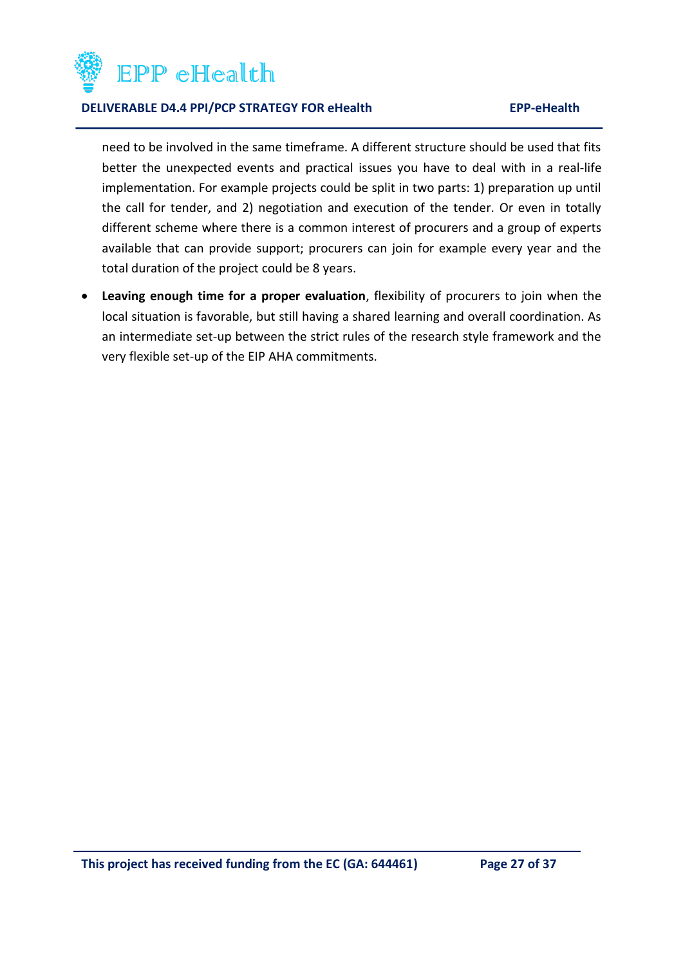

need to be involved in the same timeframe. A different structure should be used that fits better the unexpected events and practical issues you have to deal with in a real-life implementation. For example projects could be split in two parts: 1) preparation up until the call for tender, and 2) negotiation and execution of the tender. Or even in totally different scheme where there is a common interest of procurers and a group of experts available that can provide support; procurers can join for example every year and the total duration of the project could be 8 years.

 **Leaving enough time for a proper evaluation**, flexibility of procurers to join when the local situation is favorable, but still having a shared learning and overall coordination. As an intermediate set-up between the strict rules of the research style framework and the very flexible set-up of the EIP AHA commitments.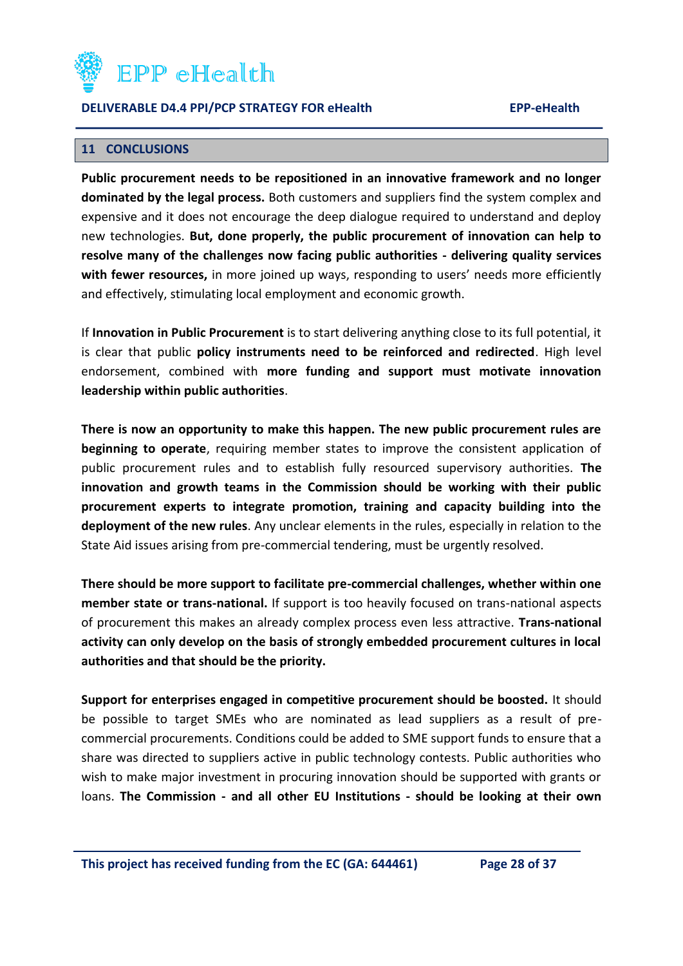

#### <span id="page-27-0"></span>**11 CONCLUSIONS**

**Public procurement needs to be repositioned in an innovative framework and no longer dominated by the legal process.** Both customers and suppliers find the system complex and expensive and it does not encourage the deep dialogue required to understand and deploy new technologies. **But, done properly, the public procurement of innovation can help to resolve many of the challenges now facing public authorities - delivering quality services with fewer resources,** in more joined up ways, responding to users' needs more efficiently and effectively, stimulating local employment and economic growth.

If **Innovation in Public Procurement** is to start delivering anything close to its full potential, it is clear that public **policy instruments need to be reinforced and redirected**. High level endorsement, combined with **more funding and support must motivate innovation leadership within public authorities**.

**There is now an opportunity to make this happen. The new public procurement rules are beginning to operate**, requiring member states to improve the consistent application of public procurement rules and to establish fully resourced supervisory authorities. **The innovation and growth teams in the Commission should be working with their public procurement experts to integrate promotion, training and capacity building into the deployment of the new rules**. Any unclear elements in the rules, especially in relation to the State Aid issues arising from pre-commercial tendering, must be urgently resolved.

**There should be more support to facilitate pre-commercial challenges, whether within one member state or trans-national.** If support is too heavily focused on trans-national aspects of procurement this makes an already complex process even less attractive. **Trans-national activity can only develop on the basis of strongly embedded procurement cultures in local authorities and that should be the priority.**

**Support for enterprises engaged in competitive procurement should be boosted.** It should be possible to target SMEs who are nominated as lead suppliers as a result of precommercial procurements. Conditions could be added to SME support funds to ensure that a share was directed to suppliers active in public technology contests. Public authorities who wish to make major investment in procuring innovation should be supported with grants or loans. **The Commission - and all other EU Institutions - should be looking at their own**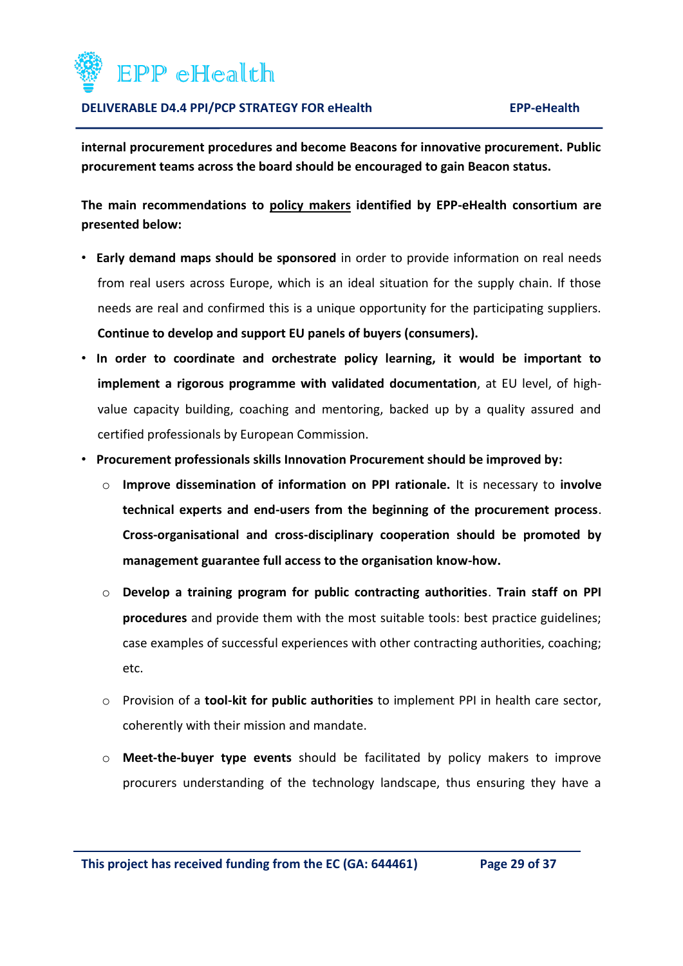

**internal procurement procedures and become Beacons for innovative procurement. Public procurement teams across the board should be encouraged to gain Beacon status.** 

**The main recommendations to policy makers identified by EPP-eHealth consortium are presented below:**

- **Early demand maps should be sponsored** in order to provide information on real needs from real users across Europe, which is an ideal situation for the supply chain. If those needs are real and confirmed this is a unique opportunity for the participating suppliers. **Continue to develop and support EU panels of buyers (consumers).**
- **In order to coordinate and orchestrate policy learning, it would be important to implement a rigorous programme with validated documentation**, at EU level, of highvalue capacity building, coaching and mentoring, backed up by a quality assured and certified professionals by European Commission.
- **Procurement professionals skills Innovation Procurement should be improved by:** 
	- o **Improve dissemination of information on PPI rationale.** It is necessary to **involve technical experts and end-users from the beginning of the procurement process**. **Cross-organisational and cross-disciplinary cooperation should be promoted by management guarantee full access to the organisation know-how.**
	- o **Develop a training program for public contracting authorities**. **Train staff on PPI procedures** and provide them with the most suitable tools: best practice guidelines; case examples of successful experiences with other contracting authorities, coaching; etc.
	- o Provision of a **tool-kit for public authorities** to implement PPI in health care sector, coherently with their mission and mandate.
	- o **Meet-the-buyer type events** should be facilitated by policy makers to improve procurers understanding of the technology landscape, thus ensuring they have a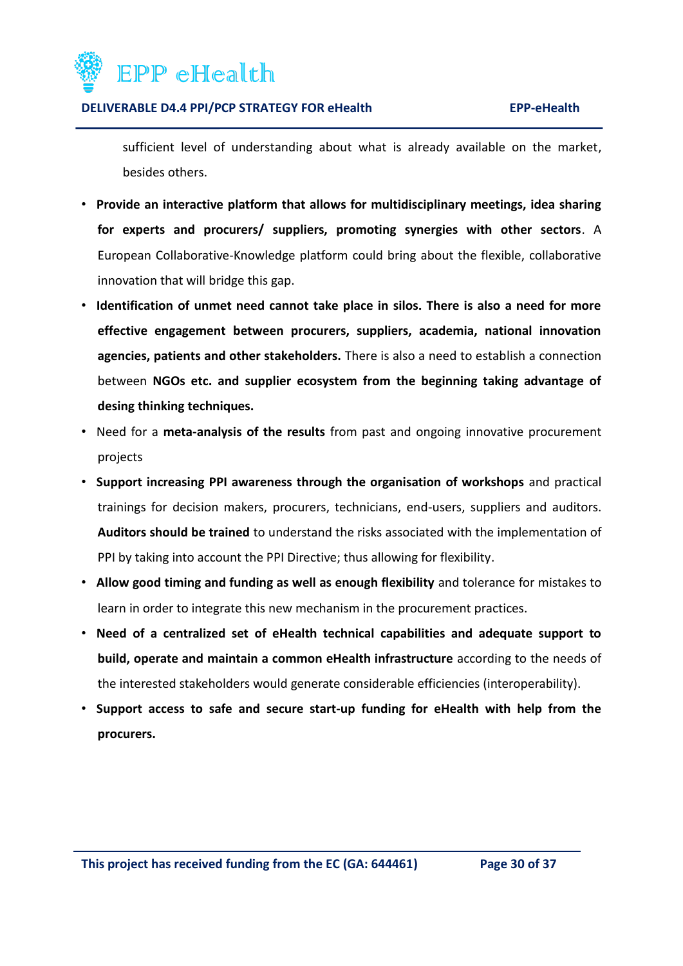

sufficient level of understanding about what is already available on the market, besides others.

- **Provide an interactive platform that allows for multidisciplinary meetings, idea sharing for experts and procurers/ suppliers, promoting synergies with other sectors**. A European Collaborative-Knowledge platform could bring about the flexible, collaborative innovation that will bridge this gap.
- **Identification of unmet need cannot take place in silos. There is also a need for more effective engagement between procurers, suppliers, academia, national innovation agencies, patients and other stakeholders.** There is also a need to establish a connection between **NGOs etc. and supplier ecosystem from the beginning taking advantage of desing thinking techniques.**
- Need for a **meta-analysis of the results** from past and ongoing innovative procurement projects
- **Support increasing PPI awareness through the organisation of workshops** and practical trainings for decision makers, procurers, technicians, end-users, suppliers and auditors. **Auditors should be trained** to understand the risks associated with the implementation of PPI by taking into account the PPI Directive; thus allowing for flexibility.
- **Allow good timing and funding as well as enough flexibility** and tolerance for mistakes to learn in order to integrate this new mechanism in the procurement practices.
- **Need of a centralized set of eHealth technical capabilities and adequate support to build, operate and maintain a common eHealth infrastructure** according to the needs of the interested stakeholders would generate considerable efficiencies (interoperability).
- **Support access to safe and secure start-up funding for eHealth with help from the procurers.**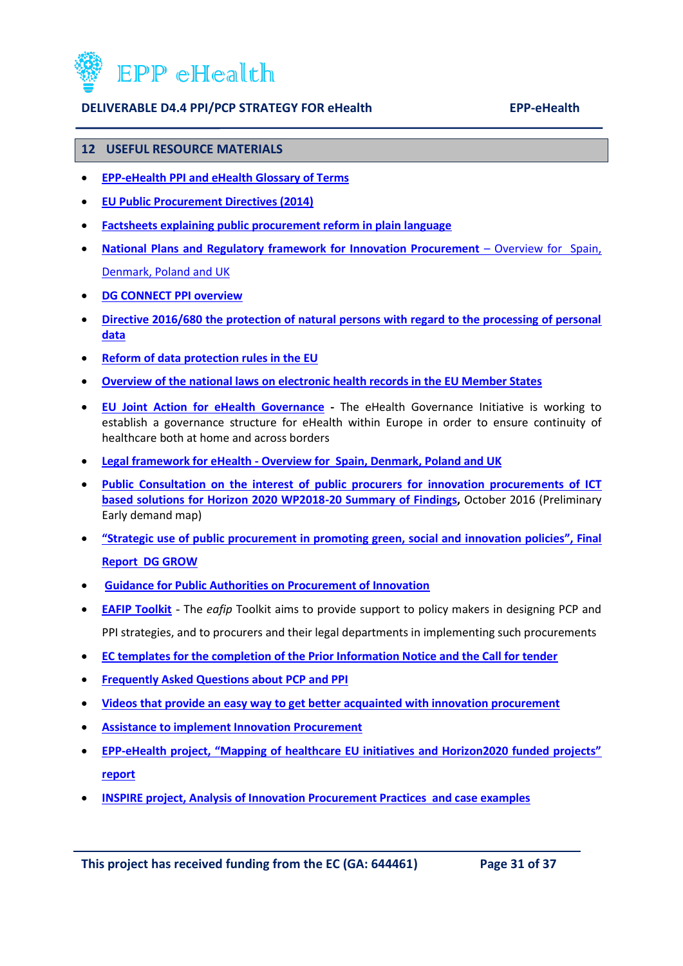

#### <span id="page-30-0"></span>**12 USEFUL RESOURCE MATERIALS**

- **[EPP-eHealth PPI and eHealth Glossary of Terms](http://innovationithospitals.com/pdf/resourceCentre/EPP-eHealth%20Glossary%20of%20Terms.pdf)**
- **[EU Public Procurement Directives \(2014\)](http://eur-lex.europa.eu/legal-content/EN/TXT/HTML/?uri=OJ:L:2014:094:FULL&from=EN)**
- **[Factsheets explaining public procurement reform in plain language](http://ec.europa.eu/growth/single-market/public-procurement/rules-implementation_en)**
- **[National Plans and Regulatory framework for Innovation Procurement](http://innovationithospitals.com/pdf/resourceCentre/EPP-eHealth%20D3.1%20D4.1%20part%202%20of%202.pdf)** Overview for Spain, [Denmark, Poland and UK](http://innovationithospitals.com/pdf/resourceCentre/EPP-eHealth%20D3.1%20D4.1%20part%202%20of%202.pdf)
- **[DG CONNECT PPI overview](https://ec.europa.eu/digital-single-market/innovation-procurement)**
- **[Directive 2016/680 the protection of natural persons with regard to the processing of personal](http://eur-lex.europa.eu/legal-content/EN/TXT/PDF/?uri=CELEX:32016L0680&from=EN)  [data](http://eur-lex.europa.eu/legal-content/EN/TXT/PDF/?uri=CELEX:32016L0680&from=EN)**
- **[Reform of data protection rules in the EU](http://ec.europa.eu/justice/data-protection/reform/index_en.htm)**
- **[Overview of the national laws on electronic health records in the EU Member States](http://innovationithospitals.com/pdf/resourceCentre/Overview%20of%20EU%20national%20laws%20on%20EHR.pdf)**
- **[EU Joint Action for eHealth Governance](http://www.ehgi.eu/default.aspx) -** The eHealth Governance Initiative is working to establish a governance structure for eHealth within Europe in order to ensure continuity of healthcare both at home and across borders
- **Legal framework for eHealth - Overview for [Spain, Denmark, Poland and UK](http://innovationithospitals.com/pdf/resourceCentre/EPP-eHealth%20D3.1%20D4.1%20part%201%20of%202.pdf)**
- **Public Consultation on the interest of public procurers for innovation procurements of ICT [based solutions for Horizon 2020 WP2018-20 Summary of Findings,](https://ec.europa.eu/programmes/horizon2020/sites/horizon2020/files/Results%20public%20consultation%20innovation%20proc_0.pdf)** October 2016 (Preliminary Early demand map)
- **["Strategic use of public procurement in promoting green, social and innovation policies", Final](http://ec.europa.eu/DocsRoom/documents/17261)  [Report DG GROW](http://ec.europa.eu/DocsRoom/documents/17261)**
- **[Guidance for Public Authorities on Procurement of Innovation](https://www.innovation-procurement.org/fileadmin/editor-content/Guides/PPI-Platform_Guide_new-final_download.pdf)**
- **[EAFIP Toolkit](http://eafip.eu/toolkit/)** The *eafip* Toolkit aims to provide support to policy makers in designing PCP and PPI strategies, and to procurers and their legal departments in implementing such procurements
- **[EC templates for the completion of the Prior Information Notice and the Call for tender](http://innovationithospitals.com/other.html)**
- **[Frequently Asked Questions about PCP and PPI](https://ec.europa.eu/digital-single-market/news/frequently-asked-questions-about-pcp-and-ppi)**
- **[Videos that provide an easy way to get better acquainted with innovation procurement](http://eafip.eu/resources/videos/)**
- **[Assistance to implement Innovation Procurement](http://eafip.eu/assistance/)**
- **EPP-[eHealth project, "Mapping of healthcare EU initiatives and Horizon2020 funded projects"](http://innovationithospitals.com/Mapping.html)  [report](http://innovationithospitals.com/Mapping.html)**
- **[INSPIRE project, Analysis of Innovation Procurement Practices and case examples](http://inspirecampus.eu/wp-content/uploads/2014/02/INSPIRE-D-2.1._final-version_PUBLISHED.pdf)**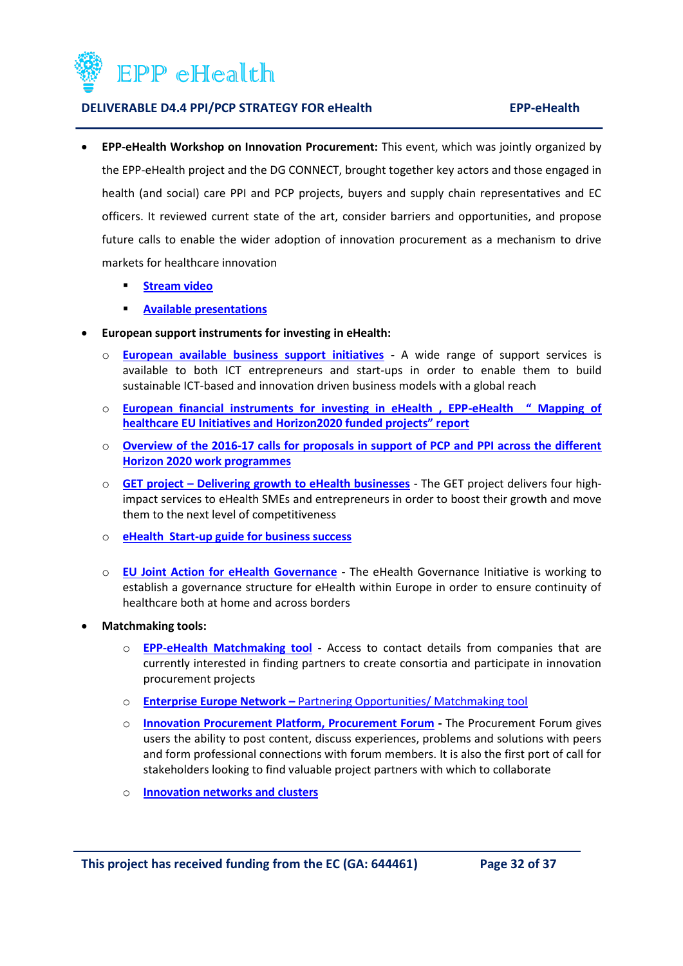

- **EPP-eHealth Workshop on Innovation Procurement:** This event, which was jointly organized by the EPP-eHealth project and the DG CONNECT, brought together key actors and those engaged in health (and social) care PPI and PCP projects, buyers and supply chain representatives and EC officers. It reviewed current state of the art, consider barriers and opportunities, and propose future calls to enable the wider adoption of innovation procurement as a mechanism to drive markets for healthcare innovation
	- **[Stream video](http://innovationithospitals.com/Webinar.html)**
	- **[Available presentations](http://innovationithospitals.com/Workshop_02.html)**
- **European support instruments for investing in eHealth:** 
	- o **[European available business support initiatives](https://ec.europa.eu/digital-single-market/en/programme-and-projects/project-factsheets-innovation) -** A wide range of support services is available to both ICT entrepreneurs and start-ups in order to enable them to build sustainable ICT-based and innovation driven business models with a global reach
	- o **[European financial instruments for investing in eHealth , EPP-](http://innovationithospitals.com/Mapping.html)eHealth " Mapping of heal[thcare EU Initiatives and Horizon2020 funded projects" report](http://innovationithospitals.com/Mapping.html)**
	- o **[Overview of the 2016-17 calls for proposals in support of PCP and PPI across the different](http://ec.europa.eu/information_society/newsroom/image/document/2016-40/overview_pcp-ppi_calls_2016-2017_sept_2016_17683.pdf)  [Horizon 2020 work programmes](http://ec.europa.eu/information_society/newsroom/image/document/2016-40/overview_pcp-ppi_calls_2016-2017_sept_2016_17683.pdf)**
	- o **GET project – [Delivering growth to eHealth businesses](http://www.get-ehealth.eu/)** The GET project delivers four highimpact services to eHealth SMEs and entrepreneurs in order to boost their growth and move them to the next level of competitiveness
	- o **[eHealth Start-up guide for business success](http://inspirecampus.eu/wp-content/uploads/2015/05/RESOURCE-GET-on-Track5.pdf)**
	- o **[EU Joint Action for eHealth Governance](http://www.ehgi.eu/default.aspx) -** The eHealth Governance Initiative is working to establish a governance structure for eHealth within Europe in order to ensure continuity of healthcare both at home and across borders
- **Matchmaking tools:** 
	- o **[EPP-eHealth Matchmaking tool](http://innovationithospitals.com/matchmakingTool.html) -** Access to contact details from companies that are currently interested in finding partners to create consortia and participate in innovation procurement projects
	- o **Enterprise Europe Network –** [Partnering Opportunities/ Matchmaking tool](http://een.ec.europa.eu/tools/services/SearchCenter/Search/ProfileSimpleSearch?shid=32db25cb-726f-43b0-8b5f-7742d0935799)
	- o **[Innovation Procurement Platform, Procurement Forum](http://www.innovation-procurement.org/exchange/procurement-forum/) -** The Procurement Forum gives users the ability to post content, discuss experiences, problems and solutions with peers and form professional connections with forum members. It is also the first port of call for stakeholders looking to find valuable project partners with which to collaborate
	- o **[Innovation networks and clusters](https://innovationpolicyplatform.org/content/innovation-networks-and-clusters)**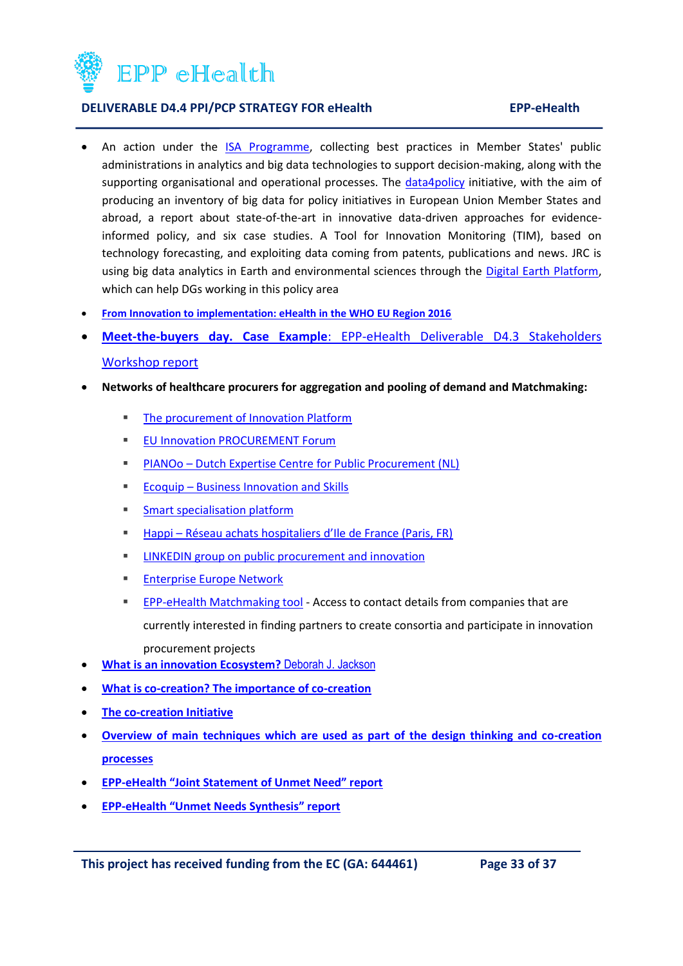

- An action under the [ISA Programme,](http://ec.europa.eu/isa/actions/01-trusted-information-exchange/1-22action_en.htm) collecting best practices in Member States' public administrations in analytics and big data technologies to support decision-making, along with the supporting organisational and operational processes. The [data4policy](http://www.data4policy.eu/) initiative, with the aim of producing an inventory of big data for policy initiatives in European Union Member States and abroad, a report about state-of-the-art in innovative data-driven approaches for evidenceinformed policy, and six case studies. A Tool for Innovation Monitoring (TIM), based on technology forecasting, and exploiting data coming from patents, publications and news. JRC is using big data analytics in Earth and environmental sciences through the [Digital Earth Platform,](https://ec.europa.eu/jrc/en/research-topic/digital-earth) which can help DGs working in this policy area
- **From Innovation to [implementation: eHealth in the WHO EU Region 2016](http://www.euro.who.int/__data/assets/pdf_file/0012/302331/From-Innovation-to-Implementation-eHealth-Report-EU.pdf)**
- **Meet-the-buyers day. Case Example**[: EPP-eHealth Deliverable D4.3 Stakeholders](http://innovationithospitals.com/ProjectDeliverables.html)  [Workshop report](http://innovationithospitals.com/ProjectDeliverables.html)
- **Networks of healthcare procurers for aggregation and pooling of demand and Matchmaking:**
	- **[The procurement of Innovation Platform](https://www.innovation-procurement.org/)**
	- **[EU Innovation PROCUREMENT Forum](https://www.procurement-forum.eu/)**
	- PIANOo [Dutch Expertise Centre for Public Procurement \(NL\)](http://www.pianoo.nl/)
	- **Ecoquip [Business Innovation and Skills](http://www.ecoquip.eu/)**
	- **[Smart specialisation platform](http://s3platform.jrc.ec.europa.eu/)**
	- Happi [Réseau achats hospitaliers d'Ile de France \(Paris, FR\)](http://www.happi-project.eu/)
	- **EXECUTE:** LINKEDIN group on public procurement and innovation
	- **[Enterprise Europe Network](http://een.ec.europa.eu/)**
	- **[EPP-eHealth Matchmaking tool](http://innovationithospitals.com/matchmakingTool.html) Access to contact details from companies that are** currently interested in finding partners to create consortia and participate in innovation procurement projects
- **[What is an innovation Ecosystem?](http://erc-assoc.org/sites/default/files/topics/policy_studies/DJackson_Innovation%20Ecosystem_03-15-11.pdf)** Deborah J. Jackson
- **[What is co-creation? The importance of co-creation](http://www.forbes.com/sites/ashoka/2014/02/04/why-co-creation-is-the-future-for-all-of-us/#23dbf220478e)**
- **[The co-creation Initiative](https://www.cocreation.world/)**
- **[Overview of main techniques which are used as part of the design thinking and co-creation](http://www.servicedesigntools.org/)  [processes](http://www.servicedesigntools.org/)**
- **EPP-[eHealth "Joint Statement of Unmet Need" report](http://innovationithospitals.com/JSUN.html)**
- **EPP-[eHealth "Unmet Needs Synthesis" report](http://innovationithospitals.com/JSUN.html)**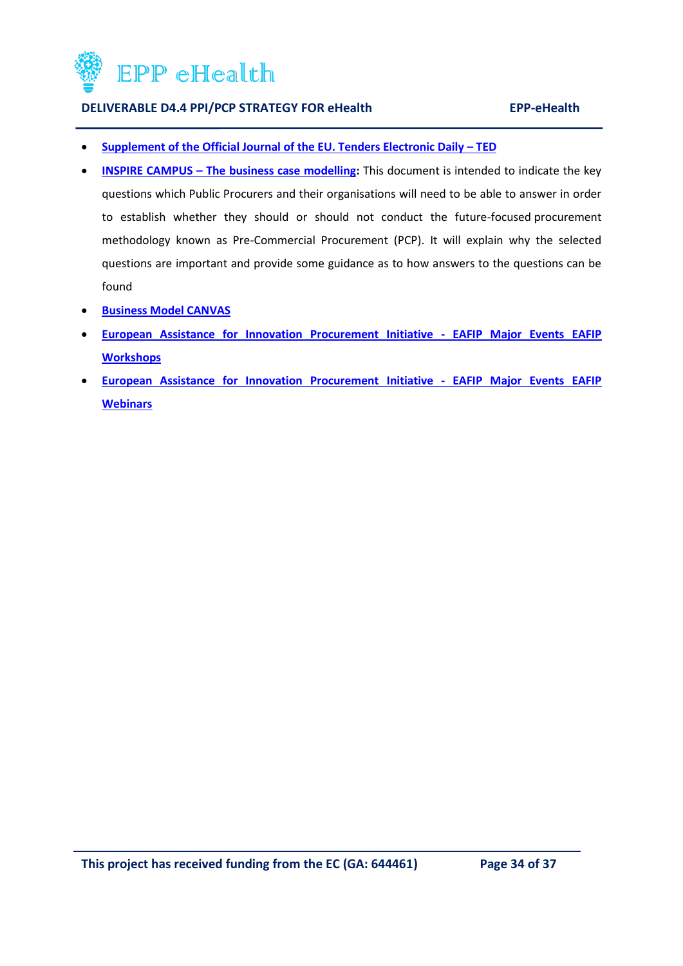

- **[Supplement of the Official Journal of the EU. Tenders Electronic Daily](http://ted.europa.eu/TED/main/HomePage.do) – TED**
- **INSPIRE CAMPUS [The business case modelling:](http://inspirecampus.eu/wp-content/uploads/2014/02/INSPIRE-D3.1-Economic_determinants_of_PCP_v1.1_PUBLISHED.pdf)** This document is intended to indicate the key questions which Public Procurers and their organisations will need to be able to answer in order to establish whether they should or should not conduct the future-focused procurement methodology known as Pre-Commercial Procurement (PCP). It will explain why the selected questions are important and provide some guidance as to how answers to the questions can be found
- **e** [Business Model CANVAS](https://en.wikipedia.org/wiki/Business_Model_Canvas)
- **[European Assistance for Innovation Procurement Initiative -](http://eafip.eu/category/events/workshops/) EAFIP Major Events EAFIP [Workshops](http://eafip.eu/category/events/workshops/)**
- **[European Assistance for Innovation Procurement Initiative -](http://eafip.eu/category/events/webinars/) EAFIP Major Events EAFIP [Webinars](http://eafip.eu/category/events/webinars/)**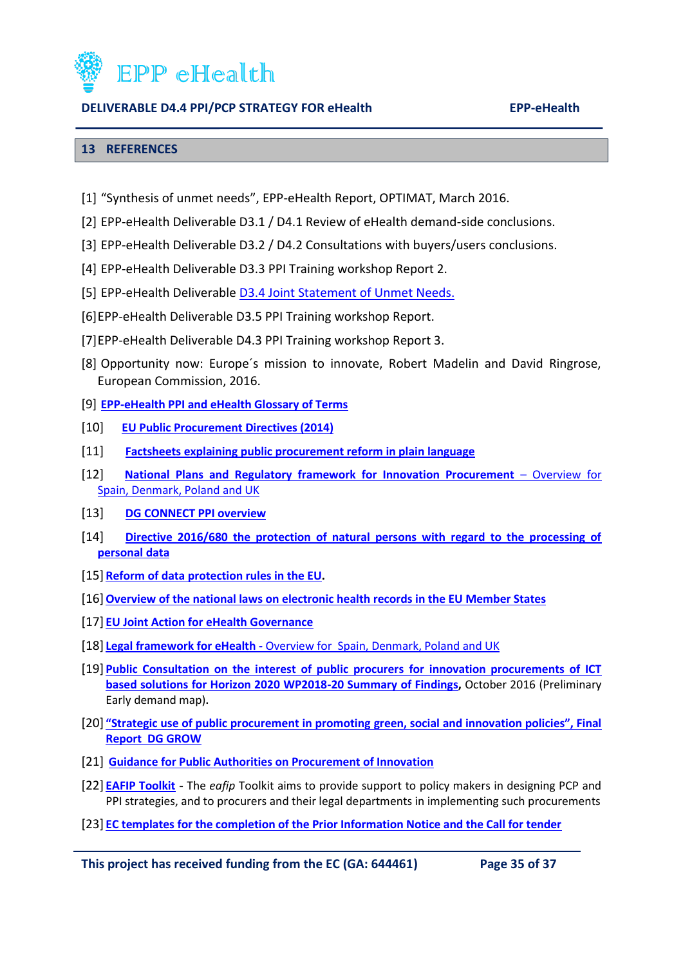

#### <span id="page-34-0"></span>**13 REFERENCES**

- [1] "Synthesis of unmet needs", EPP-eHealth Report, OPTIMAT, March 2016.
- [2] EPP-eHealth Deliverable D3.1 / D4.1 Review of eHealth demand-side conclusions.
- [3] EPP-eHealth Deliverable D3.2 / D4.2 Consultations with buyers/users conclusions.
- [4] EPP-eHealth Deliverable D3.3 PPI Training workshop Report 2.
- [5] EPP-eHealth Deliverable **D3.4 Joint Statement of Unmet Needs.**
- [6]EPP-eHealth Deliverable D3.5 PPI Training workshop Report.
- [7]EPP-eHealth Deliverable D4.3 PPI Training workshop Report 3.
- [8] Opportunity now: Europe´s mission to innovate, Robert Madelin and David Ringrose, European Commission, 2016.
- [9] **[EPP-eHealth PPI and eHealth Glossary of Terms](http://innovationithospitals.com/pdf/resourceCentre/EPP-eHealth%20Glossary%20of%20Terms.pdf)**
- [10] **[EU Public Procurement Directives \(2014\)](http://eur-lex.europa.eu/legal-content/EN/TXT/HTML/?uri=OJ:L:2014:094:FULL&from=EN)**
- [11] **[Factsheets explaining public procurement reform in plain language](http://ec.europa.eu/growth/single-market/public-procurement/rules-implementation_en)**
- [12] **[National Plans and Regulatory framework for Innovation Procurement](http://innovationithospitals.com/pdf/resourceCentre/EPP-eHealth%20D3.1%20D4.1%20part%202%20of%202.pdf)** Overview for [Spain, Denmark, Poland and UK](http://innovationithospitals.com/pdf/resourceCentre/EPP-eHealth%20D3.1%20D4.1%20part%202%20of%202.pdf)
- [13] **[DG CONNECT PPI overview](https://ec.europa.eu/digital-single-market/innovation-procurement)**
- [14] **[Directive 2016/680 the protection of natural persons with regard to the processing of](http://eur-lex.europa.eu/legal-content/EN/TXT/PDF/?uri=CELEX:32016L0680&from=EN)  [personal data](http://eur-lex.europa.eu/legal-content/EN/TXT/PDF/?uri=CELEX:32016L0680&from=EN)**
- [15] **[Reform of data protection rules in the EU.](http://ec.europa.eu/justice/data-protection/reform/index_en.htm)**
- [16]**[Overview of the national laws on electronic health](http://innovationithospitals.com/pdf/resourceCentre/Overview%20of%20EU%20national%20laws%20on%20EHR.pdf) records in the EU Member States**
- [17] **[EU Joint Action for eHealth Governance](http://www.ehgi.eu/default.aspx)**
- [18] **Legal framework for eHealth -** Overview for [Spain, Denmark, Poland and UK](http://innovationithospitals.com/pdf/resourceCentre/EPP-eHealth%20D3.1%20D4.1%20part%201%20of%202.pdf)
- [19] **[Public Consultation on the interest of public procurers](https://ec.europa.eu/programmes/horizon2020/sites/horizon2020/files/Results%20public%20consultation%20innovation%20proc_0.pdf) for innovation procurements of ICT [based solutions for Horizon 2020 WP2018-20 Summary of Findings,](https://ec.europa.eu/programmes/horizon2020/sites/horizon2020/files/Results%20public%20consultation%20innovation%20proc_0.pdf)** October 2016 (Preliminary Early demand map)**.**
- [20] **["Strategic use of public procurement in promoting green, social and innovation policies", Final](http://ec.europa.eu/DocsRoom/documents/17261)  [Report DG GROW](http://ec.europa.eu/DocsRoom/documents/17261)**
- [21] **[Guidance for Public Authorities on Procurement of Innovation](https://www.innovation-procurement.org/fileadmin/editor-content/Guides/PPI-Platform_Guide_new-final_download.pdf)**
- [22] **[EAFIP Toolkit](http://eafip.eu/toolkit/)** The *eafip* Toolkit aims to provide support to policy makers in designing PCP and PPI strategies, and to procurers and their legal departments in implementing such procurements
- [23] **[EC templates for the completion of the Prior Information Notice and the Call for tender](http://innovationithospitals.com/other.html)**

**This project has received funding from the EC (GA: 644461) Page 35 of 37**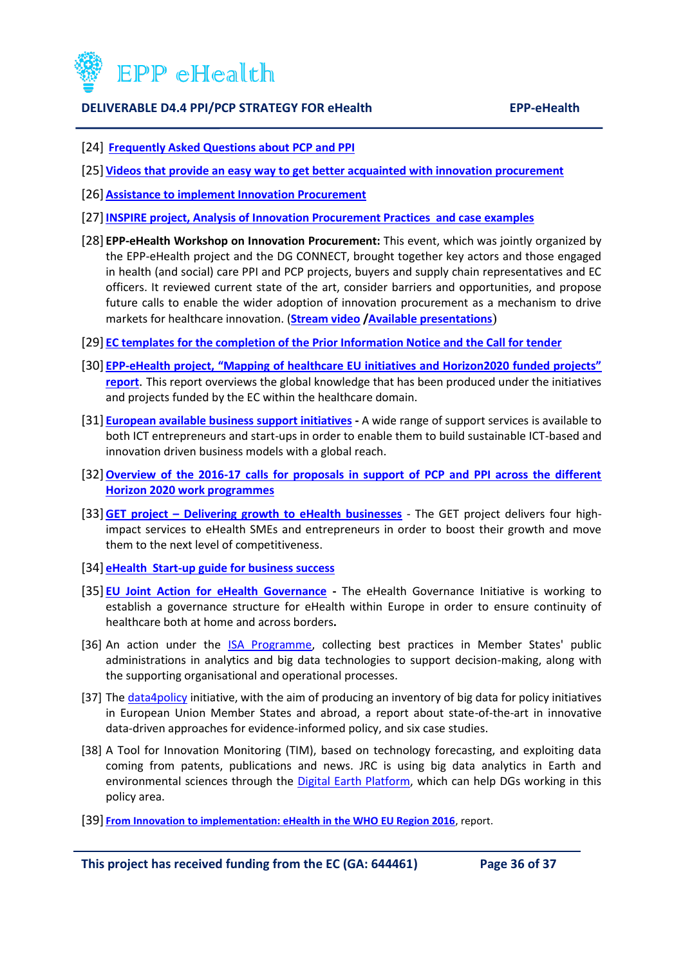

- [24] **[Frequently Asked Questions about PCP and PPI](https://ec.europa.eu/digital-single-market/news/frequently-asked-questions-about-pcp-and-ppi)**
- [25] **[Videos that provide an easy way to get better acquainted with innovation procurement](http://eafip.eu/resources/videos/)**
- [26] **[Assistance to implement Innovation Procurement](http://eafip.eu/assistance/)**
- [27]**[INSPIRE project, Analysis of Innovation Procurement Practices and case examples](http://inspirecampus.eu/wp-content/uploads/2014/02/INSPIRE-D-2.1._final-version_PUBLISHED.pdf)**
- [28] **EPP-eHealth Workshop on Innovation Procurement:** This event, which was jointly organized by the EPP-eHealth project and the DG CONNECT, brought together key actors and those engaged in health (and social) care PPI and PCP projects, buyers and supply chain representatives and EC officers. It reviewed current state of the art, consider barriers and opportunities, and propose future calls to enable the wider adoption of innovation procurement as a mechanism to drive markets for healthcare innovation. (**[Stream video](http://innovationithospitals.com/Webinar.html) [/Available presentations](http://innovationithospitals.com/Workshop_02.html)**)
- [29] **[EC templates for the completion of the Prior Information Notice and the Call for tender](http://innovationithospitals.com/other.html)**
- [30] **EPP-[eHealth project, "Mapping of healthcare EU initiatives and Horizon2020 funded projects"](http://innovationithospitals.com/Mapping.html)  [report](http://innovationithospitals.com/Mapping.html)**. This report overviews the global knowledge that has been produced under the initiatives and projects funded by the EC within the healthcare domain.
- [31] **[European available business support initiatives](https://ec.europa.eu/digital-single-market/en/programme-and-projects/project-factsheets-innovation) -** A wide range of support services is available to both ICT entrepreneurs and start-ups in order to enable them to build sustainable ICT-based and innovation driven business models with a global reach.
- [32]**[Overview of the 2016-17 calls for proposals in support of PCP and PPI across the different](http://ec.europa.eu/information_society/newsroom/image/document/2016-40/overview_pcp-ppi_calls_2016-2017_sept_2016_17683.pdf)  [Horizon 2020 work programmes](http://ec.europa.eu/information_society/newsroom/image/document/2016-40/overview_pcp-ppi_calls_2016-2017_sept_2016_17683.pdf)**
- [33]**GET project – [Delivering growth to eHealth businesses](http://www.get-ehealth.eu/)** The GET project delivers four highimpact services to eHealth SMEs and entrepreneurs in order to boost their growth and move them to the next level of competitiveness.
- [34] **[eHealth Start-up guide for business success](http://inspirecampus.eu/wp-content/uploads/2015/05/RESOURCE-GET-on-Track5.pdf)**
- [35] **[EU Joint Action for eHealth Governance](http://www.ehgi.eu/default.aspx) -** The eHealth Governance Initiative is working to establish a governance structure for eHealth within Europe in order to ensure continuity of healthcare both at home and across borders**.**
- [36] An action under the **ISA Programme**, collecting best practices in Member States' public administrations in analytics and big data technologies to support decision-making, along with the supporting organisational and operational processes.
- [37] The [data4policy](http://www.data4policy.eu/) initiative, with the aim of producing an inventory of big data for policy initiatives in European Union Member States and abroad, a report about state-of-the-art in innovative data-driven approaches for evidence-informed policy, and six case studies.
- [38] A Tool for Innovation Monitoring (TIM), based on technology forecasting, and exploiting data coming from patents, publications and news. JRC is using big data analytics in Earth and environmental sciences through the [Digital Earth Platform,](https://ec.europa.eu/jrc/en/research-topic/digital-earth) which can help DGs working in this policy area.
- [39] **From Innovation [to implementation: eHealth in the WHO EU Region 2016](http://www.euro.who.int/__data/assets/pdf_file/0012/302331/From-Innovation-to-Implementation-eHealth-Report-EU.pdf)**, report.

**This project has received funding from the EC (GA: 644461) Page 36 of 37**